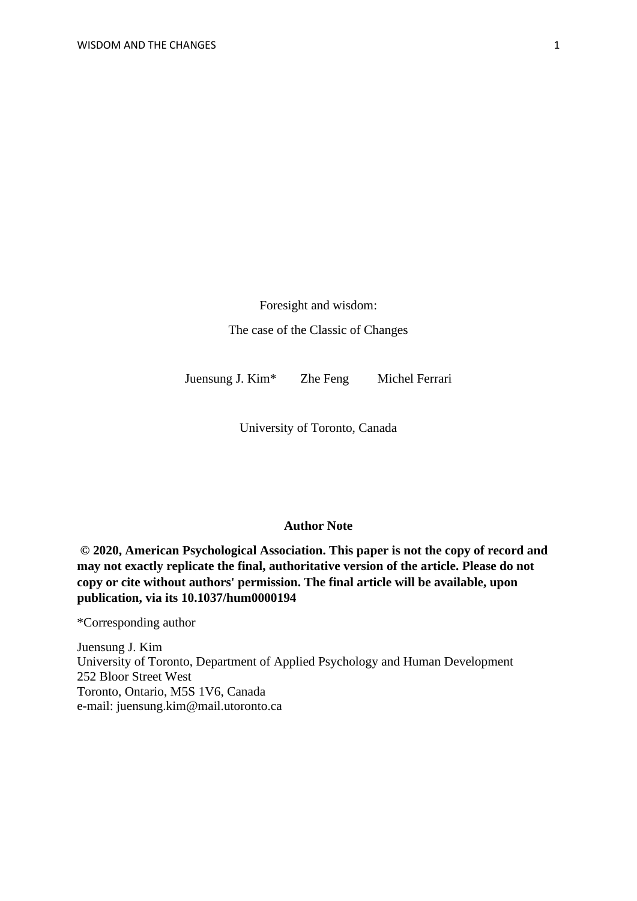Foresight and wisdom: The case of the Classic of Changes

Juensung J. Kim\* Zhe Feng Michel Ferrari

University of Toronto, Canada

### **Author Note**

**© 2020, American Psychological Association. This paper is not the copy of record and may not exactly replicate the final, authoritative version of the article. Please do not copy or cite without authors' permission. The final article will be available, upon publication, via its 10.1037/hum0000194**

\*Corresponding author

Juensung J. Kim University of Toronto, Department of Applied Psychology and Human Development 252 Bloor Street West Toronto, Ontario, M5S 1V6, Canada e-mail: juensung.kim@mail.utoronto.ca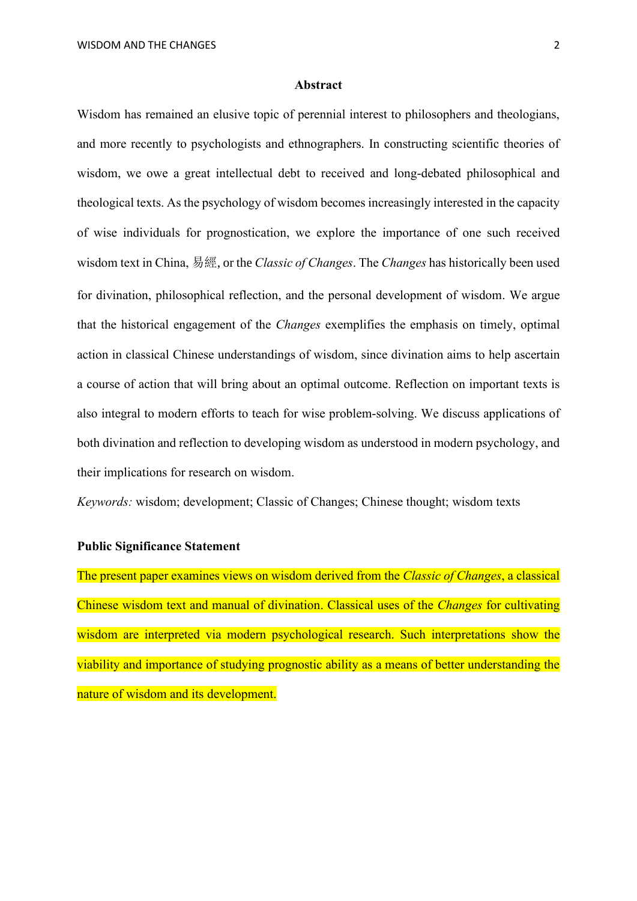### **Abstract**

Wisdom has remained an elusive topic of perennial interest to philosophers and theologians, and more recently to psychologists and ethnographers. In constructing scientific theories of wisdom, we owe a great intellectual debt to received and long-debated philosophical and theological texts. As the psychology of wisdom becomes increasingly interested in the capacity of wise individuals for prognostication, we explore the importance of one such received wisdom text in China, 易經, or the *Classic of Changes*. The *Changes* has historically been used for divination, philosophical reflection, and the personal development of wisdom. We argue that the historical engagement of the *Changes* exemplifies the emphasis on timely, optimal action in classical Chinese understandings of wisdom, since divination aims to help ascertain a course of action that will bring about an optimal outcome. Reflection on important texts is also integral to modern efforts to teach for wise problem-solving. We discuss applications of both divination and reflection to developing wisdom as understood in modern psychology, and their implications for research on wisdom.

*Keywords:* wisdom; development; Classic of Changes; Chinese thought; wisdom texts

# **Public Significance Statement**

The present paper examines views on wisdom derived from the *Classic of Changes*, a classical Chinese wisdom text and manual of divination. Classical uses of the *Changes* for cultivating wisdom are interpreted via modern psychological research. Such interpretations show the viability and importance of studying prognostic ability as a means of better understanding the nature of wisdom and its development.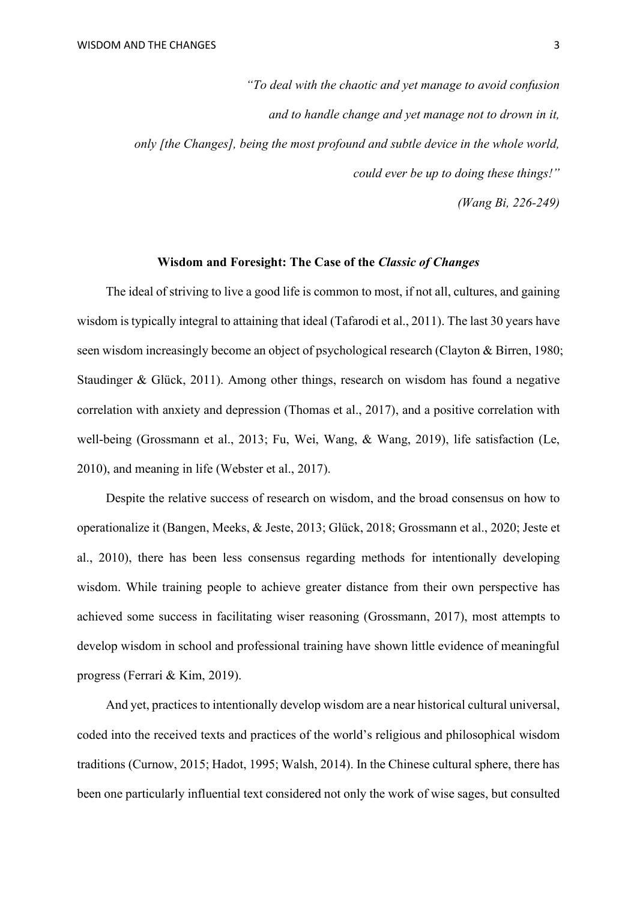*"To deal with the chaotic and yet manage to avoid confusion and to handle change and yet manage not to drown in it, only [the Changes], being the most profound and subtle device in the whole world, could ever be up to doing these things!"*

*(Wang Bi, 226-249)*

### **Wisdom and Foresight: The Case of the** *Classic of Changes*

The ideal of striving to live a good life is common to most, if not all, cultures, and gaining wisdom is typically integral to attaining that ideal (Tafarodi et al., 2011). The last 30 years have seen wisdom increasingly become an object of psychological research (Clayton & Birren, 1980; Staudinger & Glück, 2011). Among other things, research on wisdom has found a negative correlation with anxiety and depression (Thomas et al., 2017), and a positive correlation with well-being (Grossmann et al., 2013; Fu, Wei, Wang, & Wang, 2019), life satisfaction (Le, 2010), and meaning in life (Webster et al., 2017).

Despite the relative success of research on wisdom, and the broad consensus on how to operationalize it (Bangen, Meeks, & Jeste, 2013; Glück, 2018; Grossmann et al., 2020; Jeste et al., 2010), there has been less consensus regarding methods for intentionally developing wisdom. While training people to achieve greater distance from their own perspective has achieved some success in facilitating wiser reasoning (Grossmann, 2017), most attempts to develop wisdom in school and professional training have shown little evidence of meaningful progress (Ferrari & Kim, 2019).

And yet, practices to intentionally develop wisdom are a near historical cultural universal, coded into the received texts and practices of the world's religious and philosophical wisdom traditions (Curnow, 2015; Hadot, 1995; Walsh, 2014). In the Chinese cultural sphere, there has been one particularly influential text considered not only the work of wise sages, but consulted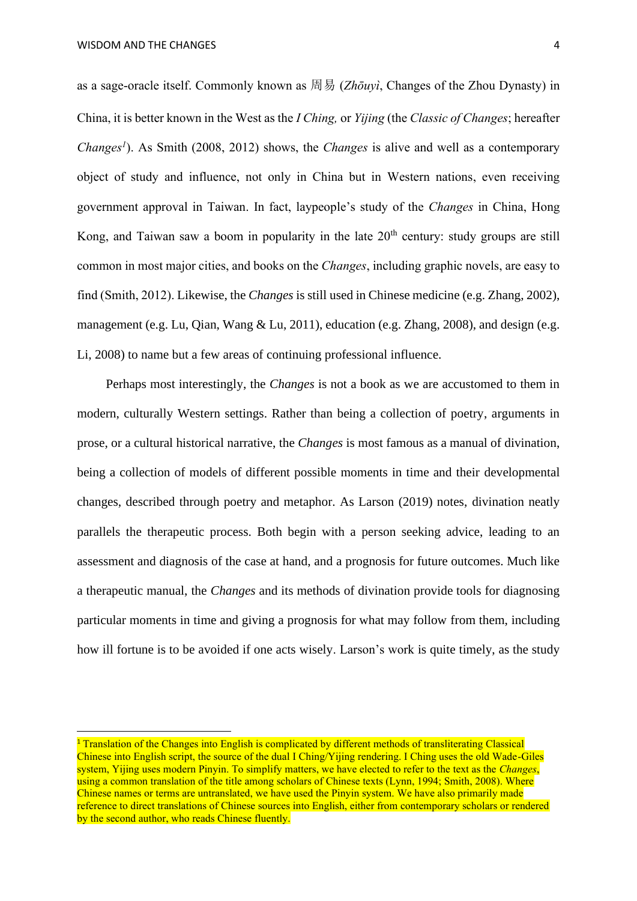as a sage-oracle itself. Commonly known as 周易 (*Zhōuyì*, Changes of the Zhou Dynasty) in China, it is better known in the West as the *I Ching,* or *Yijing* (the *Classic of Changes*; hereafter *Changes<sup>1</sup>* ). As Smith (2008, 2012) shows, the *Changes* is alive and well as a contemporary object of study and influence, not only in China but in Western nations, even receiving government approval in Taiwan. In fact, laypeople's study of the *Changes* in China, Hong Kong, and Taiwan saw a boom in popularity in the late  $20<sup>th</sup>$  century: study groups are still common in most major cities, and books on the *Changes*, including graphic novels, are easy to find (Smith, 2012). Likewise, the *Changes* is still used in Chinese medicine (e.g. Zhang, 2002), management (e.g. Lu, Qian, Wang & Lu, 2011), education (e.g. Zhang, 2008), and design (e.g. Li, 2008) to name but a few areas of continuing professional influence.

Perhaps most interestingly, the *Changes* is not a book as we are accustomed to them in modern, culturally Western settings. Rather than being a collection of poetry, arguments in prose, or a cultural historical narrative, the *Changes* is most famous as a manual of divination, being a collection of models of different possible moments in time and their developmental changes, described through poetry and metaphor. As Larson (2019) notes, divination neatly parallels the therapeutic process. Both begin with a person seeking advice, leading to an assessment and diagnosis of the case at hand, and a prognosis for future outcomes. Much like a therapeutic manual, the *Changes* and its methods of divination provide tools for diagnosing particular moments in time and giving a prognosis for what may follow from them, including how ill fortune is to be avoided if one acts wisely. Larson's work is quite timely, as the study

<sup>&</sup>lt;sup>1</sup> Translation of the Changes into English is complicated by different methods of transliterating Classical Chinese into English script, the source of the dual I Ching/Yijing rendering. I Ching uses the old Wade-Giles system, Yijing uses modern Pinyin. To simplify matters, we have elected to refer to the text as the *Changes*, using a common translation of the title among scholars of Chinese texts (Lynn, 1994; Smith, 2008). Where Chinese names or terms are untranslated, we have used the Pinyin system. We have also primarily made reference to direct translations of Chinese sources into English, either from contemporary scholars or rendered by the second author, who reads Chinese fluently.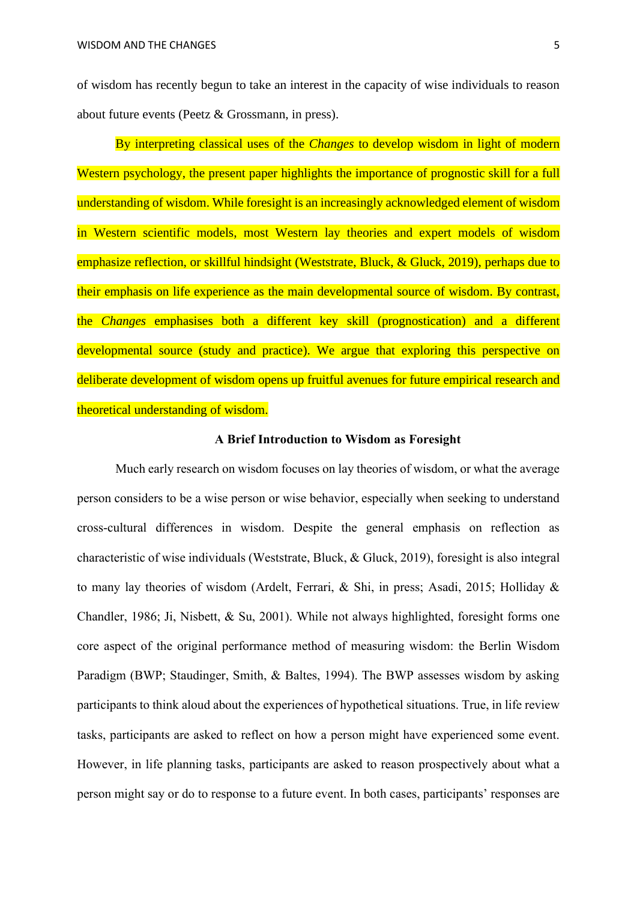of wisdom has recently begun to take an interest in the capacity of wise individuals to reason about future events (Peetz & Grossmann, in press).

By interpreting classical uses of the *Changes* to develop wisdom in light of modern Western psychology, the present paper highlights the importance of prognostic skill for a full understanding of wisdom. While foresight is an increasingly acknowledged element of wisdom in Western scientific models, most Western lay theories and expert models of wisdom emphasize reflection, or skillful hindsight (Weststrate, Bluck, & Gluck, 2019), perhaps due to their emphasis on life experience as the main developmental source of wisdom. By contrast, the *Changes* emphasises both a different key skill (prognostication) and a different developmental source (study and practice). We argue that exploring this perspective on deliberate development of wisdom opens up fruitful avenues for future empirical research and theoretical understanding of wisdom.

## **A Brief Introduction to Wisdom as Foresight**

Much early research on wisdom focuses on lay theories of wisdom, or what the average person considers to be a wise person or wise behavior, especially when seeking to understand cross-cultural differences in wisdom. Despite the general emphasis on reflection as characteristic of wise individuals (Weststrate, Bluck, & Gluck, 2019), foresight is also integral to many lay theories of wisdom (Ardelt, Ferrari, & Shi, in press; Asadi, 2015; Holliday & Chandler, 1986; Ji, Nisbett, & Su, 2001). While not always highlighted, foresight forms one core aspect of the original performance method of measuring wisdom: the Berlin Wisdom Paradigm (BWP; Staudinger, Smith, & Baltes, 1994). The BWP assesses wisdom by asking participants to think aloud about the experiences of hypothetical situations. True, in life review tasks, participants are asked to reflect on how a person might have experienced some event. However, in life planning tasks, participants are asked to reason prospectively about what a person might say or do to response to a future event. In both cases, participants' responses are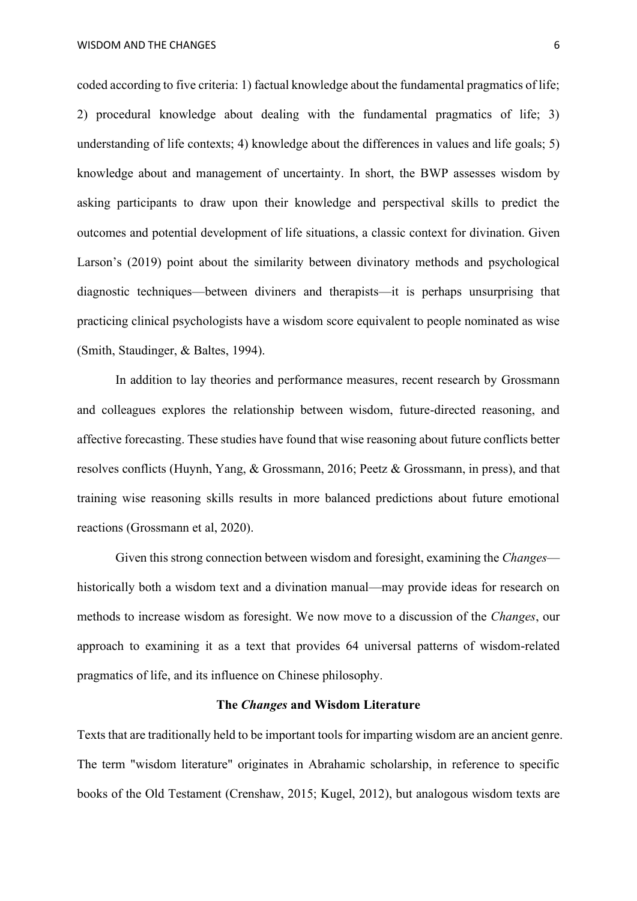WISDOM AND THE CHANGES **6** 

coded according to five criteria: 1) factual knowledge about the fundamental pragmatics of life; 2) procedural knowledge about dealing with the fundamental pragmatics of life; 3) understanding of life contexts; 4) knowledge about the differences in values and life goals; 5) knowledge about and management of uncertainty. In short, the BWP assesses wisdom by asking participants to draw upon their knowledge and perspectival skills to predict the outcomes and potential development of life situations, a classic context for divination. Given Larson's (2019) point about the similarity between divinatory methods and psychological diagnostic techniques—between diviners and therapists—it is perhaps unsurprising that practicing clinical psychologists have a wisdom score equivalent to people nominated as wise (Smith, Staudinger, & Baltes, 1994).

In addition to lay theories and performance measures, recent research by Grossmann and colleagues explores the relationship between wisdom, future-directed reasoning, and affective forecasting. These studies have found that wise reasoning about future conflicts better resolves conflicts (Huynh, Yang, & Grossmann, 2016; Peetz & Grossmann, in press), and that training wise reasoning skills results in more balanced predictions about future emotional reactions (Grossmann et al, 2020).

Given this strong connection between wisdom and foresight, examining the *Changes* historically both a wisdom text and a divination manual—may provide ideas for research on methods to increase wisdom as foresight. We now move to a discussion of the *Changes*, our approach to examining it as a text that provides 64 universal patterns of wisdom-related pragmatics of life, and its influence on Chinese philosophy.

# **The** *Changes* **and Wisdom Literature**

Texts that are traditionally held to be important tools for imparting wisdom are an ancient genre. The term "wisdom literature" originates in Abrahamic scholarship, in reference to specific books of the Old Testament (Crenshaw, 2015; Kugel, 2012), but analogous wisdom texts are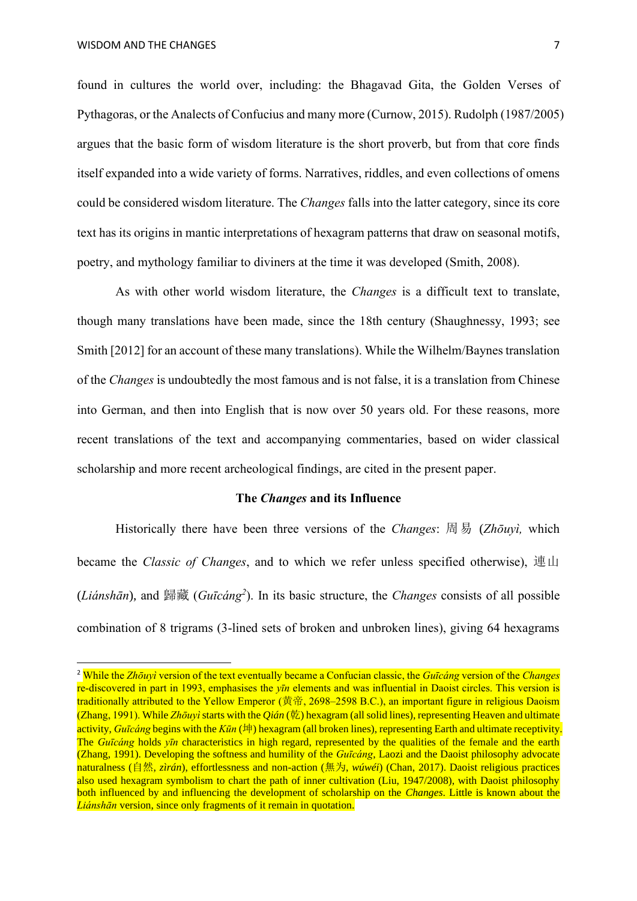found in cultures the world over, including: the Bhagavad Gita, the Golden Verses of Pythagoras, or the Analects of Confucius and many more (Curnow, 2015). Rudolph (1987/2005) argues that the basic form of wisdom literature is the short proverb, but from that core finds itself expanded into a wide variety of forms. Narratives, riddles, and even collections of omens could be considered wisdom literature. The *Changes* falls into the latter category, since its core text has its origins in mantic interpretations of hexagram patterns that draw on seasonal motifs, poetry, and mythology familiar to diviners at the time it was developed (Smith, 2008).

As with other world wisdom literature, the *Changes* is a difficult text to translate, though many translations have been made, since the 18th century (Shaughnessy, 1993; see Smith [2012] for an account of these many translations). While the Wilhelm/Baynes translation of the *Changes* is undoubtedly the most famous and is not false, it is a translation from Chinese into German, and then into English that is now over 50 years old. For these reasons, more recent translations of the text and accompanying commentaries, based on wider classical scholarship and more recent archeological findings, are cited in the present paper.

### **The** *Changes* **and its Influence**

Historically there have been three versions of the *Changes*: 周易 (*Zhōuyì,* which became the *Classic of Changes*, and to which we refer unless specified otherwise), 連山 (*Liánshān*), and 歸藏 (*Guīcáng<sup>2</sup>* ). In its basic structure, the *Changes* consists of all possible combination of 8 trigrams (3-lined sets of broken and unbroken lines), giving 64 hexagrams

<sup>2</sup> While the *Zhōuyì* version of the text eventually became a Confucian classic, the *Guīcáng* version of the *Changes* re-discovered in part in 1993, emphasises the *yīn* elements and was influential in Daoist circles. This version is traditionally attributed to the Yellow Emperor (黄帝, 2698–2598 B.C.), an important figure in religious Daoism (Zhang, 1991). While *Zhōuyì*starts with the *Qián* (乾) hexagram (all solid lines), representing Heaven and ultimate activity, *Guīcáng* begins with the *Kūn* (坤) hexagram (all broken lines), representing Earth and ultimate receptivity. The *Guīcáng* holds *yīn* characteristics in high regard, represented by the qualities of the female and the earth (Zhang, 1991). Developing the softness and humility of the *Guīcáng*, Laozi and the Daoist philosophy advocate naturalness (自然, *zìrán*), effortlessness and non-action (無为, *wúwéi*) (Chan, 2017). Daoist religious practices also used hexagram symbolism to chart the path of inner cultivation (Liu, 1947/2008), with Daoist philosophy both influenced by and influencing the development of scholarship on the *Changes*. Little is known about the *Liánshān* version, since only fragments of it remain in quotation.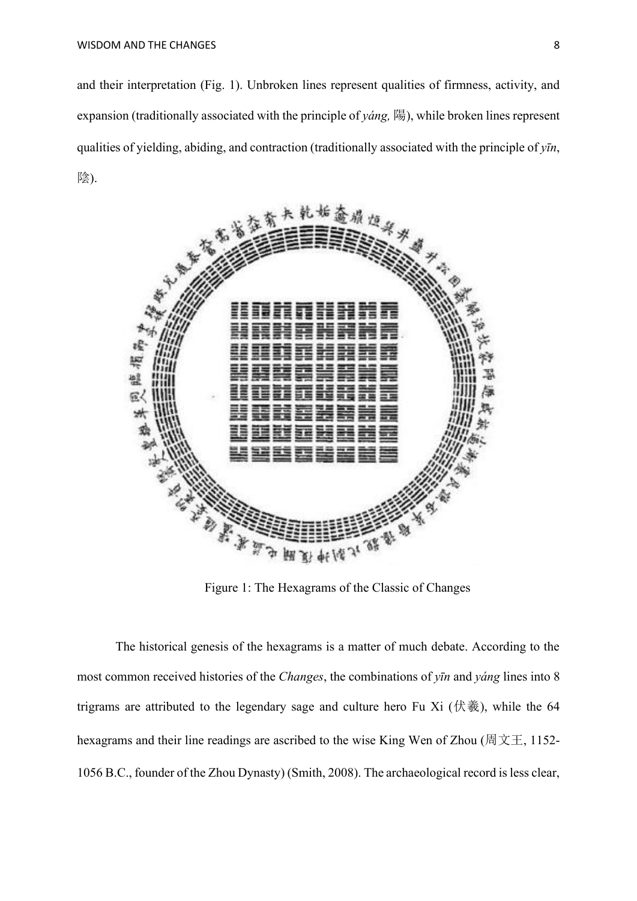and their interpretation (Fig. 1). Unbroken lines represent qualities of firmness, activity, and expansion (traditionally associated with the principle of *yáng,* 陽), while broken lines represent qualities of yielding, abiding, and contraction (traditionally associated with the principle of *yīn*, 陰).



Figure 1: The Hexagrams of the Classic of Changes

The historical genesis of the hexagrams is a matter of much debate. According to the most common received histories of the *Changes*, the combinations of *yīn* and *yáng* lines into 8 trigrams are attributed to the legendary sage and culture hero Fu Xi (伏羲), while the 64 hexagrams and their line readings are ascribed to the wise King Wen of Zhou (周文王, 1152-1056 B.C., founder of the Zhou Dynasty) (Smith, 2008). The archaeological record is less clear,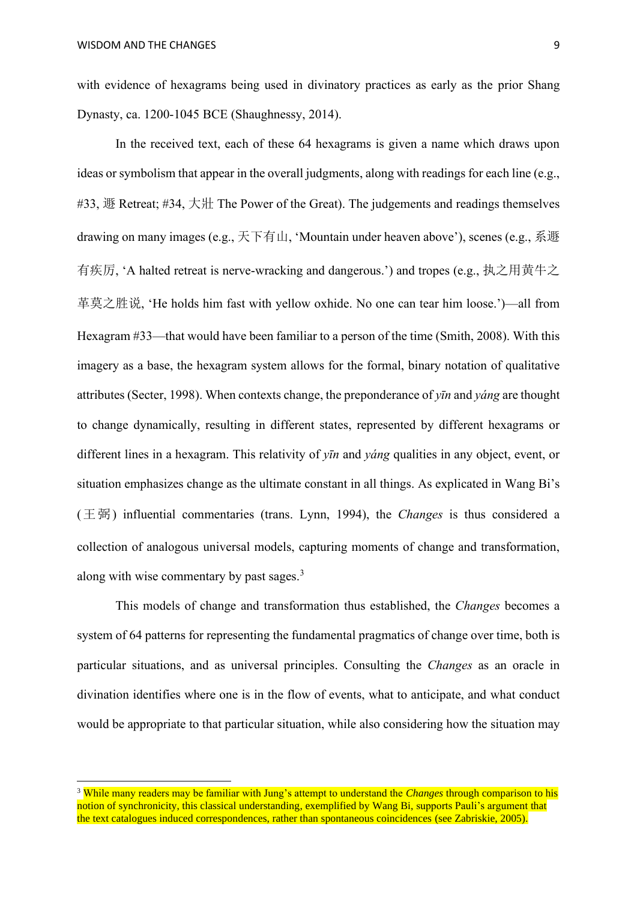with evidence of hexagrams being used in divinatory practices as early as the prior Shang Dynasty, ca. 1200-1045 BCE (Shaughnessy, 2014).

In the received text, each of these 64 hexagrams is given a name which draws upon ideas or symbolism that appear in the overall judgments, along with readings for each line (e.g., #33, 遯 Retreat; #34, 大壯 The Power of the Great). The judgements and readings themselves drawing on many images (e.g., 天下有山, 'Mountain under heaven above'), scenes (e.g., 系遯 有疾厉, 'A halted retreat is nerve-wracking and dangerous.') and tropes (e.g., 执之用黄牛之 革莫之胜说, 'He holds him fast with yellow oxhide. No one can tear him loose.')—all from Hexagram #33—that would have been familiar to a person of the time (Smith, 2008). With this imagery as a base, the hexagram system allows for the formal, binary notation of qualitative attributes (Secter, 1998). When contexts change, the preponderance of *yīn* and *yáng* are thought to change dynamically, resulting in different states, represented by different hexagrams or different lines in a hexagram. This relativity of *yīn* and *yáng* qualities in any object, event, or situation emphasizes change as the ultimate constant in all things. As explicated in Wang Bi's (王弼) influential commentaries (trans. Lynn, 1994), the *Changes* is thus considered a collection of analogous universal models, capturing moments of change and transformation, along with wise commentary by past sages.<sup>3</sup>

This models of change and transformation thus established, the *Changes* becomes a system of 64 patterns for representing the fundamental pragmatics of change over time, both is particular situations, and as universal principles. Consulting the *Changes* as an oracle in divination identifies where one is in the flow of events, what to anticipate, and what conduct would be appropriate to that particular situation, while also considering how the situation may

<sup>3</sup> While many readers may be familiar with Jung's attempt to understand the *Changes* through comparison to his notion of synchronicity, this classical understanding, exemplified by Wang Bi, supports Pauli's argument that the text catalogues induced correspondences, rather than spontaneous coincidences (see Zabriskie, 2005).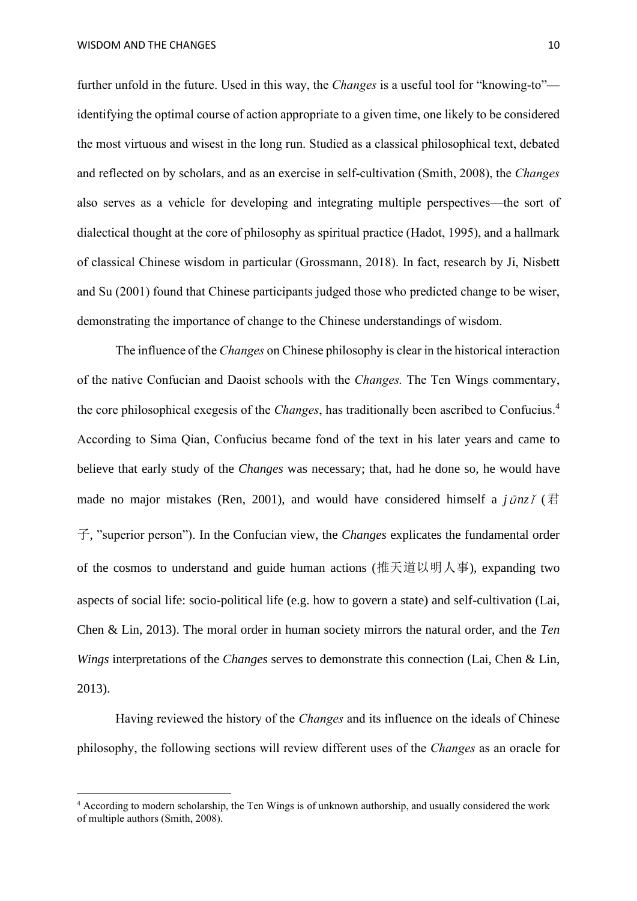further unfold in the future. Used in this way, the *Changes* is a useful tool for "knowing-to" identifying the optimal course of action appropriate to a given time, one likely to be considered the most virtuous and wisest in the long run. Studied as a classical philosophical text, debated and reflected on by scholars, and as an exercise in self-cultivation (Smith, 2008), the *Changes* also serves as a vehicle for developing and integrating multiple perspectives—the sort of dialectical thought at the core of philosophy as spiritual practice (Hadot, 1995), and a hallmark of classical Chinese wisdom in particular (Grossmann, 2018). In fact, research by Ji, Nisbett and Su (2001) found that Chinese participants judged those who predicted change to be wiser, demonstrating the importance of change to the Chinese understandings of wisdom.

The influence of the *Changes* on Chinese philosophy is clear in the historical interaction of the native Confucian and Daoist schools with the *Changes.* The Ten Wings commentary, the core philosophical exegesis of the *Changes*, has traditionally been ascribed to Confucius. 4 According to Sima Qian, Confucius became fond of the text in his later years and came to believe that early study of the *Changes* was necessary; that, had he done so, he would have made no major mistakes (Ren, 2001), and would have considered himself a  $j\bar{u}nz\tilde{\jmath}$  ( $\overline{z}$ 子, "superior person"). In the Confucian view, the *Changes* explicates the fundamental order of the cosmos to understand and guide human actions (推天道以明人事), expanding two aspects of social life: socio-political life (e.g. how to govern a state) and self-cultivation (Lai, Chen & Lin, 2013). The moral order in human society mirrors the natural order, and the *Ten Wings* interpretations of the *Changes* serves to demonstrate this connection (Lai, Chen & Lin, 2013).

Having reviewed the history of the *Changes* and its influence on the ideals of Chinese philosophy, the following sections will review different uses of the *Changes* as an oracle for

<sup>4</sup> According to modern scholarship, the Ten Wings is of unknown authorship, and usually considered the work of multiple authors (Smith, 2008).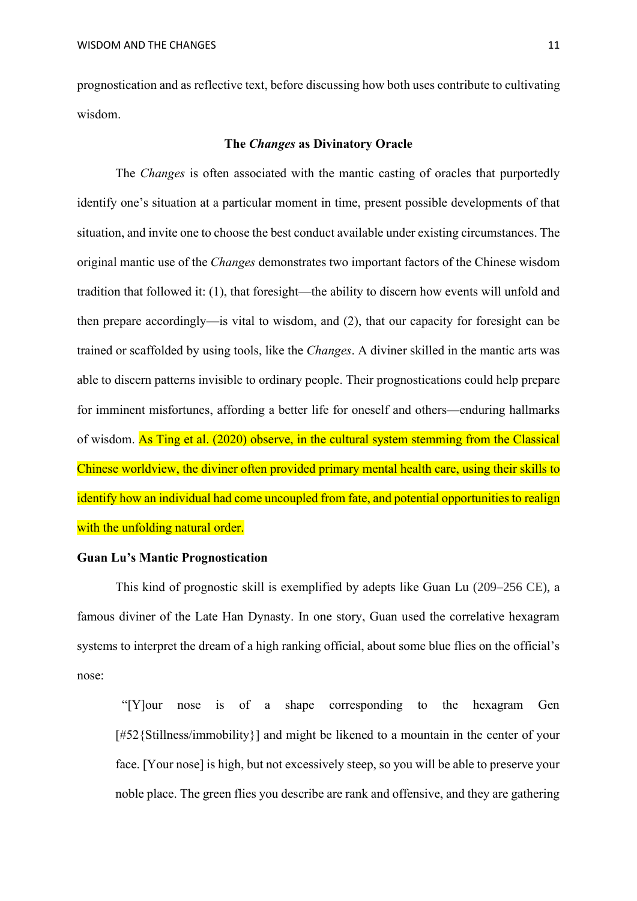prognostication and as reflective text, before discussing how both uses contribute to cultivating wisdom.

## **The** *Changes* **as Divinatory Oracle**

The *Changes* is often associated with the mantic casting of oracles that purportedly identify one's situation at a particular moment in time, present possible developments of that situation, and invite one to choose the best conduct available under existing circumstances. The original mantic use of the *Changes* demonstrates two important factors of the Chinese wisdom tradition that followed it: (1), that foresight—the ability to discern how events will unfold and then prepare accordingly—is vital to wisdom, and (2), that our capacity for foresight can be trained or scaffolded by using tools, like the *Changes*. A diviner skilled in the mantic arts was able to discern patterns invisible to ordinary people. Their prognostications could help prepare for imminent misfortunes, affording a better life for oneself and others—enduring hallmarks of wisdom. As Ting et al. (2020) observe, in the cultural system stemming from the Classical Chinese worldview, the diviner often provided primary mental health care, using their skills to identify how an individual had come uncoupled from fate, and potential opportunities to realign with the unfolding natural order.

# **Guan Lu's Mantic Prognostication**

This kind of prognostic skill is exemplified by adepts like Guan Lu (209–256 CE), a famous diviner of the Late Han Dynasty. In one story, Guan used the correlative hexagram systems to interpret the dream of a high ranking official, about some blue flies on the official's nose:

"[Y]our nose is of a shape corresponding to the hexagram Gen [#52{Stillness/immobility}] and might be likened to a mountain in the center of your face. [Your nose] is high, but not excessively steep, so you will be able to preserve your noble place. The green flies you describe are rank and offensive, and they are gathering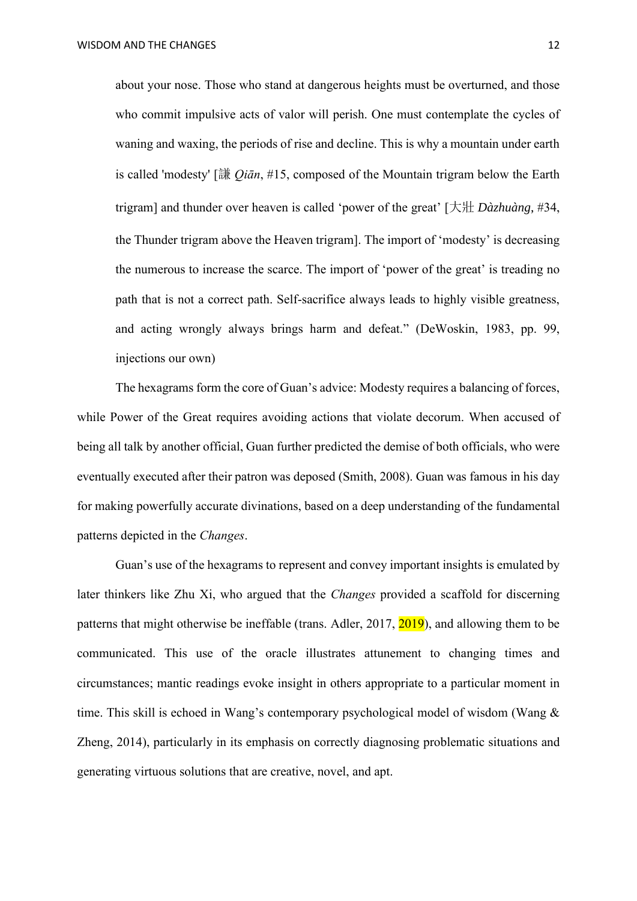about your nose. Those who stand at dangerous heights must be overturned, and those who commit impulsive acts of valor will perish. One must contemplate the cycles of waning and waxing, the periods of rise and decline. This is why a mountain under earth is called 'modesty' [謙 *Qiān*, #15, composed of the Mountain trigram below the Earth trigram] and thunder over heaven is called 'power of the great' [大壯 *Dàzhuàng*, #34, the Thunder trigram above the Heaven trigram]. The import of 'modesty' is decreasing the numerous to increase the scarce. The import of 'power of the great' is treading no path that is not a correct path. Self-sacrifice always leads to highly visible greatness, and acting wrongly always brings harm and defeat." (DeWoskin, 1983, pp. 99, injections our own)

The hexagrams form the core of Guan's advice: Modesty requires a balancing of forces, while Power of the Great requires avoiding actions that violate decorum. When accused of being all talk by another official, Guan further predicted the demise of both officials, who were eventually executed after their patron was deposed (Smith, 2008). Guan was famous in his day for making powerfully accurate divinations, based on a deep understanding of the fundamental patterns depicted in the *Changes*.

Guan's use of the hexagrams to represent and convey important insights is emulated by later thinkers like Zhu Xi, who argued that the *Changes* provided a scaffold for discerning patterns that might otherwise be ineffable (trans. Adler, 2017, 2019), and allowing them to be communicated. This use of the oracle illustrates attunement to changing times and circumstances; mantic readings evoke insight in others appropriate to a particular moment in time. This skill is echoed in Wang's contemporary psychological model of wisdom (Wang & Zheng, 2014), particularly in its emphasis on correctly diagnosing problematic situations and generating virtuous solutions that are creative, novel, and apt.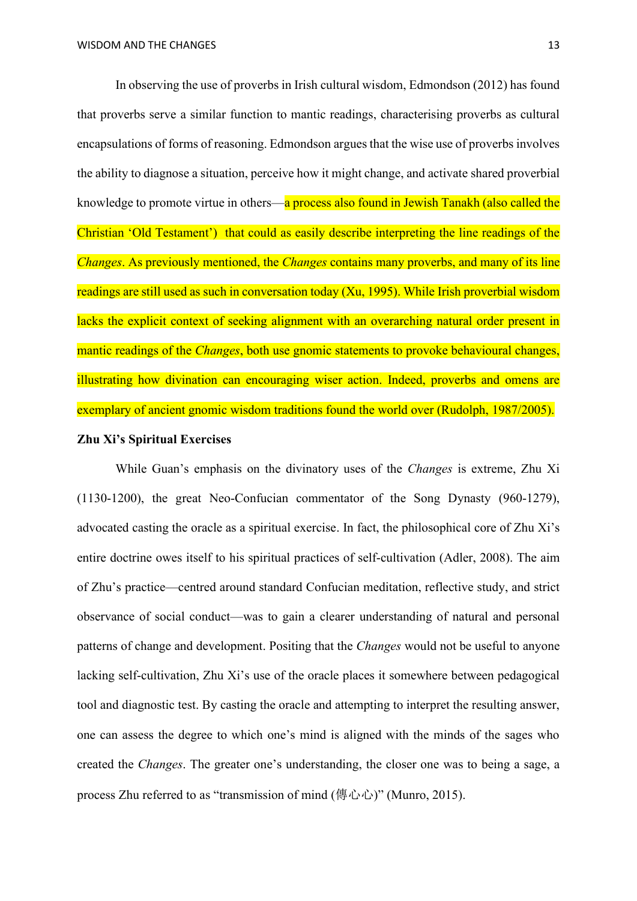In observing the use of proverbs in Irish cultural wisdom, Edmondson (2012) has found that proverbs serve a similar function to mantic readings, characterising proverbs as cultural encapsulations of forms of reasoning. Edmondson argues that the wise use of proverbs involves the ability to diagnose a situation, perceive how it might change, and activate shared proverbial knowledge to promote virtue in others—a process also found in Jewish Tanakh (also called the Christian 'Old Testament') that could as easily describe interpreting the line readings of the *Changes*. As previously mentioned, the *Changes* contains many proverbs, and many of its line readings are still used as such in conversation today (Xu, 1995). While Irish proverbial wisdom lacks the explicit context of seeking alignment with an overarching natural order present in mantic readings of the *Changes*, both use gnomic statements to provoke behavioural changes, illustrating how divination can encouraging wiser action. Indeed, proverbs and omens are exemplary of ancient gnomic wisdom traditions found the world over (Rudolph, 1987/2005). **Zhu Xi's Spiritual Exercises**

While Guan's emphasis on the divinatory uses of the *Changes* is extreme, Zhu Xi (1130-1200), the great Neo-Confucian commentator of the Song Dynasty (960-1279), advocated casting the oracle as a spiritual exercise. In fact, the philosophical core of Zhu Xi's entire doctrine owes itself to his spiritual practices of self-cultivation (Adler, 2008). The aim of Zhu's practice—centred around standard Confucian meditation, reflective study, and strict observance of social conduct—was to gain a clearer understanding of natural and personal patterns of change and development. Positing that the *Changes* would not be useful to anyone lacking self-cultivation, Zhu Xi's use of the oracle places it somewhere between pedagogical tool and diagnostic test. By casting the oracle and attempting to interpret the resulting answer, one can assess the degree to which one's mind is aligned with the minds of the sages who created the *Changes*. The greater one's understanding, the closer one was to being a sage, a process Zhu referred to as "transmission of mind (傳心心)" (Munro, 2015).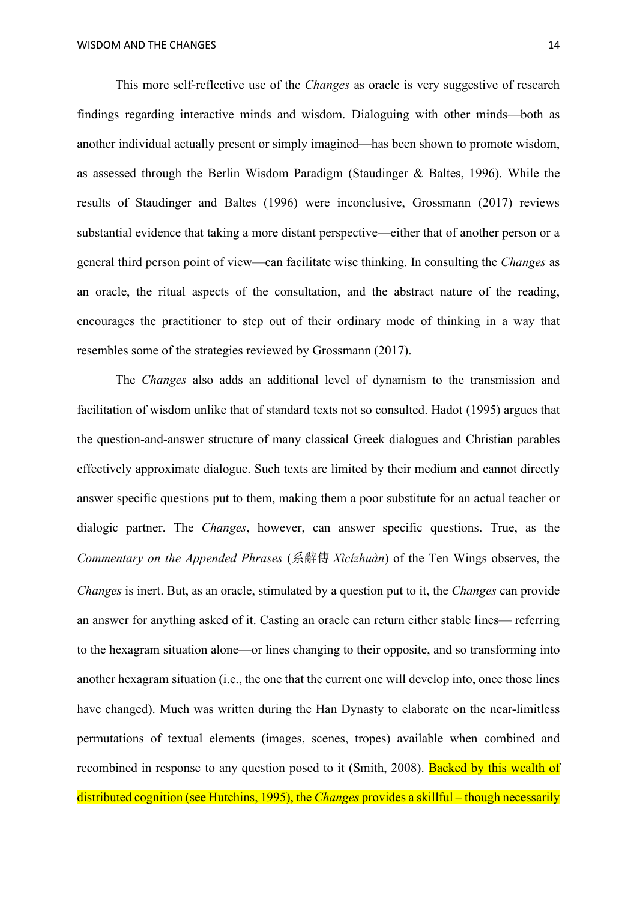This more self-reflective use of the *Changes* as oracle is very suggestive of research findings regarding interactive minds and wisdom. Dialoguing with other minds—both as another individual actually present or simply imagined—has been shown to promote wisdom, as assessed through the Berlin Wisdom Paradigm (Staudinger & Baltes, 1996). While the results of Staudinger and Baltes (1996) were inconclusive, Grossmann (2017) reviews substantial evidence that taking a more distant perspective—either that of another person or a general third person point of view—can facilitate wise thinking. In consulting the *Changes* as an oracle, the ritual aspects of the consultation, and the abstract nature of the reading, encourages the practitioner to step out of their ordinary mode of thinking in a way that resembles some of the strategies reviewed by Grossmann (2017).

The *Changes* also adds an additional level of dynamism to the transmission and facilitation of wisdom unlike that of standard texts not so consulted. Hadot (1995) argues that the question-and-answer structure of many classical Greek dialogues and Christian parables effectively approximate dialogue. Such texts are limited by their medium and cannot directly answer specific questions put to them, making them a poor substitute for an actual teacher or dialogic partner. The *Changes*, however, can answer specific questions. True, as the *Commentary on the Appended Phrases* (系辭傳 *Xìcízhuàn*) of the Ten Wings observes, the *Changes* is inert. But, as an oracle, stimulated by a question put to it, the *Changes* can provide an answer for anything asked of it. Casting an oracle can return either stable lines— referring to the hexagram situation alone—or lines changing to their opposite, and so transforming into another hexagram situation (i.e., the one that the current one will develop into, once those lines have changed). Much was written during the Han Dynasty to elaborate on the near-limitless permutations of textual elements (images, scenes, tropes) available when combined and recombined in response to any question posed to it (Smith, 2008). Backed by this wealth of distributed cognition (see Hutchins, 1995), the *Changes* provides a skillful – though necessarily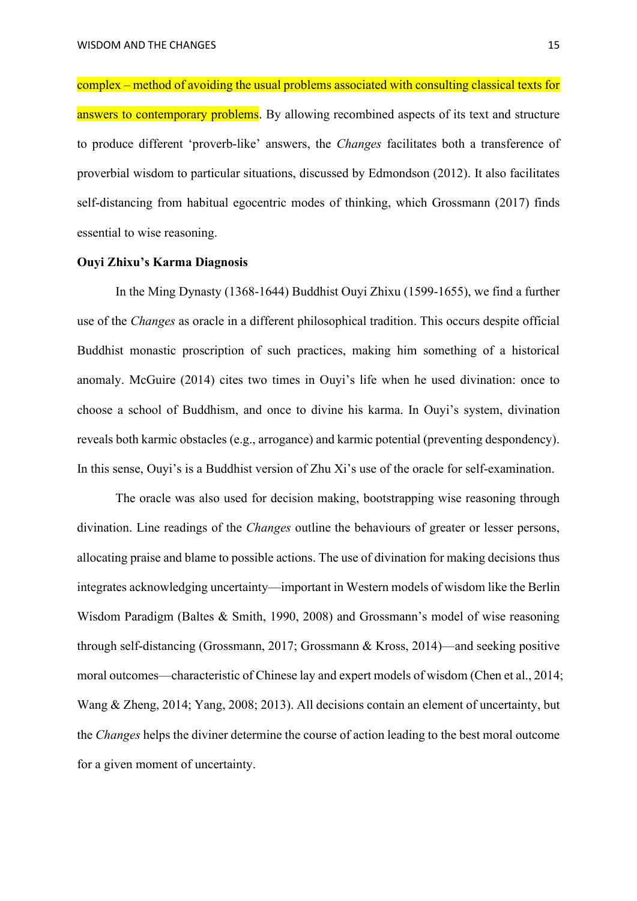complex – method of avoiding the usual problems associated with consulting classical texts for answers to contemporary problems. By allowing recombined aspects of its text and structure to produce different 'proverb-like' answers, the *Changes* facilitates both a transference of proverbial wisdom to particular situations, discussed by Edmondson (2012). It also facilitates self-distancing from habitual egocentric modes of thinking, which Grossmann (2017) finds essential to wise reasoning.

### **Ouyi Zhixu's Karma Diagnosis**

In the Ming Dynasty (1368-1644) Buddhist Ouyi Zhixu (1599-1655), we find a further use of the *Changes* as oracle in a different philosophical tradition. This occurs despite official Buddhist monastic proscription of such practices, making him something of a historical anomaly. McGuire (2014) cites two times in Ouyi's life when he used divination: once to choose a school of Buddhism, and once to divine his karma. In Ouyi's system, divination reveals both karmic obstacles (e.g., arrogance) and karmic potential (preventing despondency). In this sense, Ouyi's is a Buddhist version of Zhu Xi's use of the oracle for self-examination.

The oracle was also used for decision making, bootstrapping wise reasoning through divination. Line readings of the *Changes* outline the behaviours of greater or lesser persons, allocating praise and blame to possible actions. The use of divination for making decisions thus integrates acknowledging uncertainty—important in Western models of wisdom like the Berlin Wisdom Paradigm (Baltes & Smith, 1990, 2008) and Grossmann's model of wise reasoning through self-distancing (Grossmann, 2017; Grossmann & Kross, 2014)—and seeking positive moral outcomes—characteristic of Chinese lay and expert models of wisdom (Chen et al., 2014; Wang & Zheng, 2014; Yang, 2008; 2013). All decisions contain an element of uncertainty, but the *Changes* helps the diviner determine the course of action leading to the best moral outcome for a given moment of uncertainty.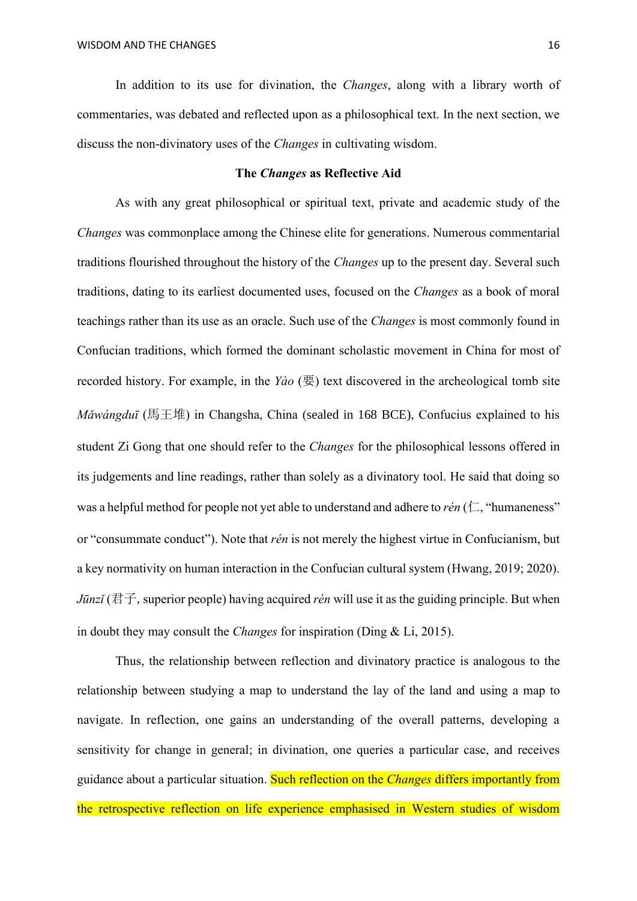In addition to its use for divination, the *Changes*, along with a library worth of commentaries, was debated and reflected upon as a philosophical text. In the next section, we discuss the non-divinatory uses of the *Changes* in cultivating wisdom.

## **The** *Changes* **as Reflective Aid**

As with any great philosophical or spiritual text, private and academic study of the *Changes* was commonplace among the Chinese elite for generations. Numerous commentarial traditions flourished throughout the history of the *Changes* up to the present day. Several such traditions, dating to its earliest documented uses, focused on the *Changes* as a book of moral teachings rather than its use as an oracle. Such use of the *Changes* is most commonly found in Confucian traditions, which formed the dominant scholastic movement in China for most of recorded history. For example, in the *Yào* (要) text discovered in the archeological tomb site *Mǎwángduī* (馬王堆) in Changsha, China (sealed in 168 BCE), Confucius explained to his student Zi Gong that one should refer to the *Changes* for the philosophical lessons offered in its judgements and line readings, rather than solely as a divinatory tool. He said that doing so was a helpful method for people not yet able to understand and adhere to *rén* ( $\Box$ , "humaneness" or "consummate conduct"). Note that *rén* is not merely the highest virtue in Confucianism, but a key normativity on human interaction in the Confucian cultural system (Hwang, 2019; 2020). *Jūnzǐ* (君子, superior people) having acquired *rén* will use it as the guiding principle. But when in doubt they may consult the *Changes* for inspiration (Ding & Li, 2015).

Thus, the relationship between reflection and divinatory practice is analogous to the relationship between studying a map to understand the lay of the land and using a map to navigate. In reflection, one gains an understanding of the overall patterns, developing a sensitivity for change in general; in divination, one queries a particular case, and receives guidance about a particular situation. Such reflection on the *Changes* differs importantly from the retrospective reflection on life experience emphasised in Western studies of wisdom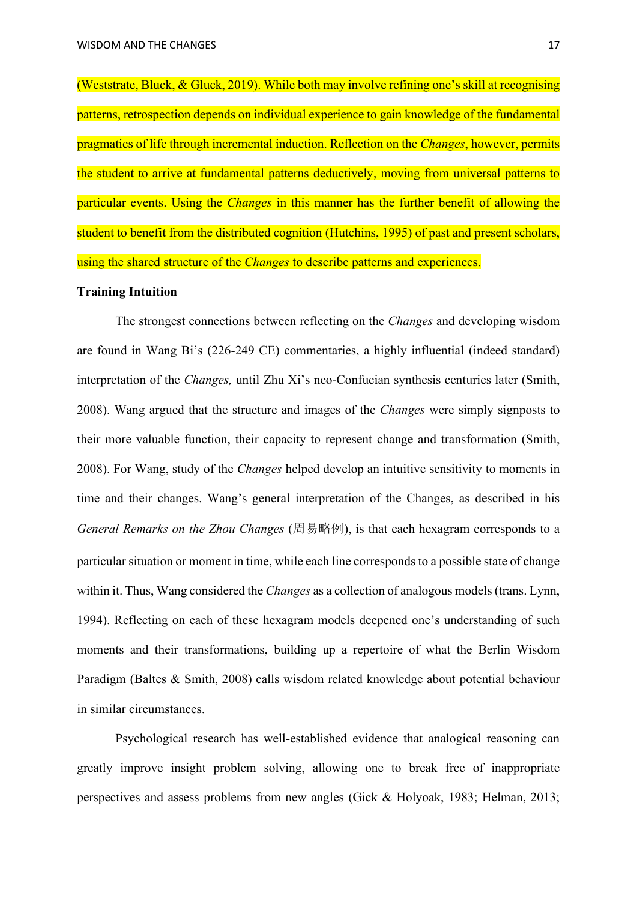(Weststrate, Bluck, & Gluck, 2019). While both may involve refining one's skill at recognising patterns, retrospection depends on individual experience to gain knowledge of the fundamental pragmatics of life through incremental induction. Reflection on the *Changes*, however, permits the student to arrive at fundamental patterns deductively, moving from universal patterns to particular events. Using the *Changes* in this manner has the further benefit of allowing the student to benefit from the distributed cognition (Hutchins, 1995) of past and present scholars, using the shared structure of the *Changes* to describe patterns and experiences.

### **Training Intuition**

The strongest connections between reflecting on the *Changes* and developing wisdom are found in Wang Bi's (226-249 CE) commentaries, a highly influential (indeed standard) interpretation of the *Changes,* until Zhu Xi's neo-Confucian synthesis centuries later (Smith, 2008). Wang argued that the structure and images of the *Changes* were simply signposts to their more valuable function, their capacity to represent change and transformation (Smith, 2008). For Wang, study of the *Changes* helped develop an intuitive sensitivity to moments in time and their changes. Wang's general interpretation of the Changes, as described in his *General Remarks on the Zhou Changes* (周易略例), is that each hexagram corresponds to a particular situation or moment in time, while each line corresponds to a possible state of change within it. Thus, Wang considered the *Changes* as a collection of analogous models (trans. Lynn, 1994). Reflecting on each of these hexagram models deepened one's understanding of such moments and their transformations, building up a repertoire of what the Berlin Wisdom Paradigm (Baltes & Smith, 2008) calls wisdom related knowledge about potential behaviour in similar circumstances.

Psychological research has well-established evidence that analogical reasoning can greatly improve insight problem solving, allowing one to break free of inappropriate perspectives and assess problems from new angles (Gick & Holyoak, 1983; Helman, 2013;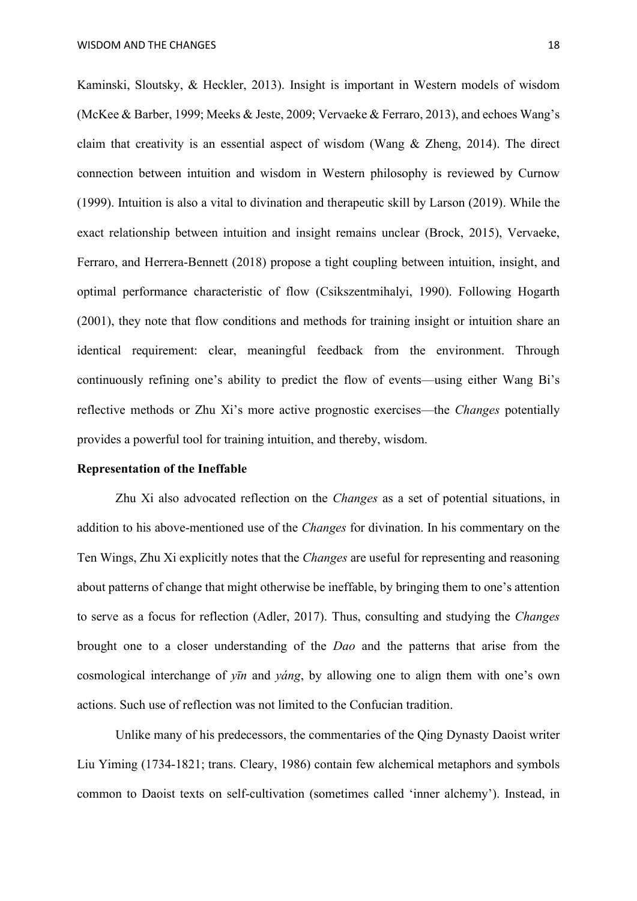Kaminski, Sloutsky, & Heckler, 2013). Insight is important in Western models of wisdom (McKee & Barber, 1999; Meeks & Jeste, 2009; Vervaeke & Ferraro, 2013), and echoes Wang's claim that creativity is an essential aspect of wisdom (Wang & Zheng, 2014). The direct connection between intuition and wisdom in Western philosophy is reviewed by Curnow (1999). Intuition is also a vital to divination and therapeutic skill by Larson (2019). While the exact relationship between intuition and insight remains unclear (Brock, 2015), Vervaeke, Ferraro, and Herrera-Bennett (2018) propose a tight coupling between intuition, insight, and optimal performance characteristic of flow (Csikszentmihalyi, 1990). Following Hogarth (2001), they note that flow conditions and methods for training insight or intuition share an identical requirement: clear, meaningful feedback from the environment. Through continuously refining one's ability to predict the flow of events—using either Wang Bi's reflective methods or Zhu Xi's more active prognostic exercises—the *Changes* potentially provides a powerful tool for training intuition, and thereby, wisdom.

### **Representation of the Ineffable**

Zhu Xi also advocated reflection on the *Changes* as a set of potential situations, in addition to his above-mentioned use of the *Changes* for divination. In his commentary on the Ten Wings, Zhu Xi explicitly notes that the *Changes* are useful for representing and reasoning about patterns of change that might otherwise be ineffable, by bringing them to one's attention to serve as a focus for reflection (Adler, 2017). Thus, consulting and studying the *Changes* brought one to a closer understanding of the *Dao* and the patterns that arise from the cosmological interchange of *yīn* and *yáng*, by allowing one to align them with one's own actions. Such use of reflection was not limited to the Confucian tradition.

Unlike many of his predecessors, the commentaries of the Qing Dynasty Daoist writer Liu Yiming (1734-1821; trans. Cleary, 1986) contain few alchemical metaphors and symbols common to Daoist texts on self-cultivation (sometimes called 'inner alchemy'). Instead, in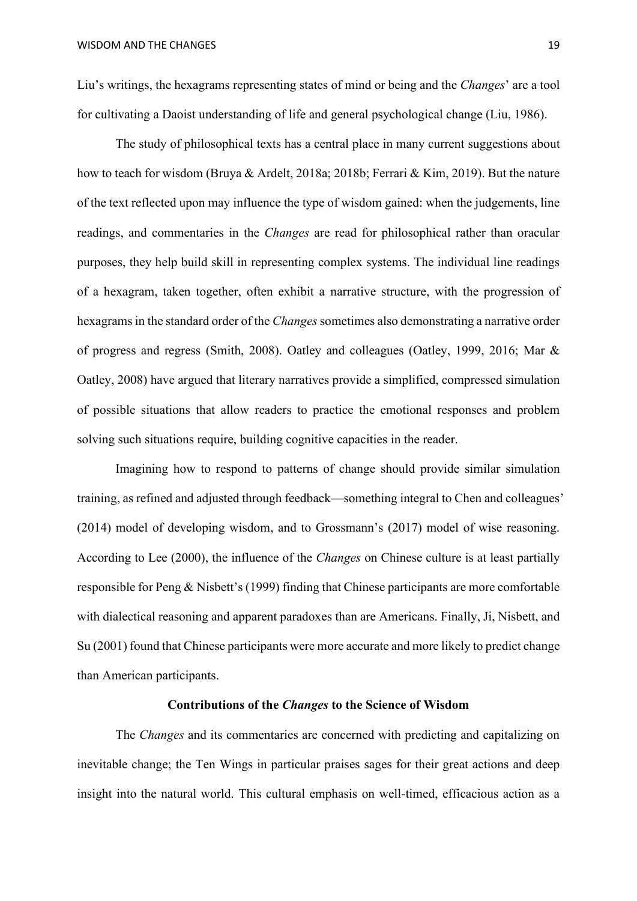Liu's writings, the hexagrams representing states of mind or being and the *Changes*' are a tool for cultivating a Daoist understanding of life and general psychological change (Liu, 1986).

The study of philosophical texts has a central place in many current suggestions about how to teach for wisdom (Bruya & Ardelt, 2018a; 2018b; Ferrari & Kim, 2019). But the nature of the text reflected upon may influence the type of wisdom gained: when the judgements, line readings, and commentaries in the *Changes* are read for philosophical rather than oracular purposes, they help build skill in representing complex systems. The individual line readings of a hexagram, taken together, often exhibit a narrative structure, with the progression of hexagrams in the standard order of the *Changes* sometimes also demonstrating a narrative order of progress and regress (Smith, 2008). Oatley and colleagues (Oatley, 1999, 2016; Mar & Oatley, 2008) have argued that literary narratives provide a simplified, compressed simulation of possible situations that allow readers to practice the emotional responses and problem solving such situations require, building cognitive capacities in the reader.

Imagining how to respond to patterns of change should provide similar simulation training, as refined and adjusted through feedback—something integral to Chen and colleagues' (2014) model of developing wisdom, and to Grossmann's (2017) model of wise reasoning. According to Lee (2000), the influence of the *Changes* on Chinese culture is at least partially responsible for Peng & Nisbett's (1999) finding that Chinese participants are more comfortable with dialectical reasoning and apparent paradoxes than are Americans. Finally, Ji, Nisbett, and Su (2001) found that Chinese participants were more accurate and more likely to predict change than American participants.

## **Contributions of the** *Changes* **to the Science of Wisdom**

The *Changes* and its commentaries are concerned with predicting and capitalizing on inevitable change; the Ten Wings in particular praises sages for their great actions and deep insight into the natural world. This cultural emphasis on well-timed, efficacious action as a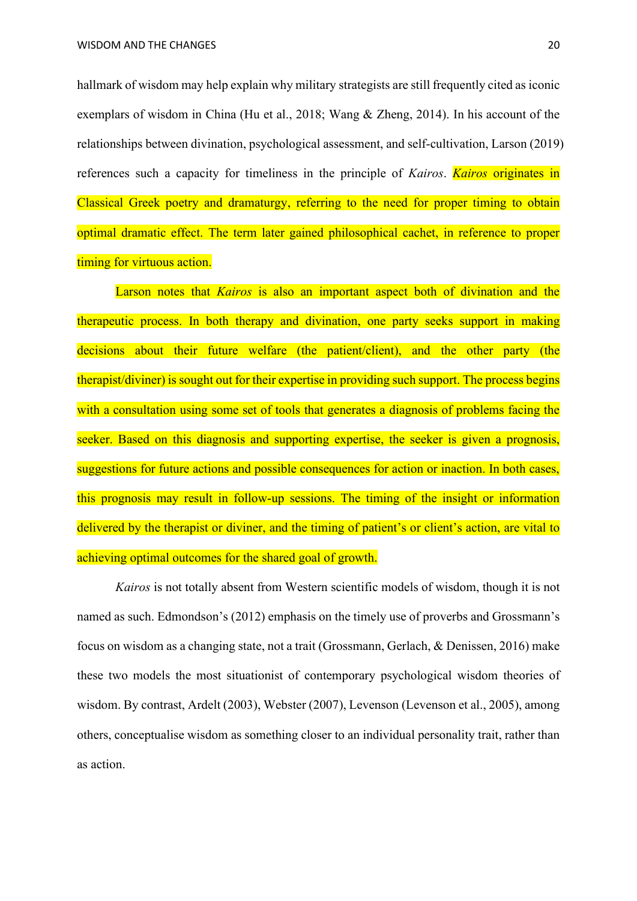hallmark of wisdom may help explain why military strategists are still frequently cited as iconic exemplars of wisdom in China (Hu et al., 2018; Wang & Zheng, 2014). In his account of the relationships between divination, psychological assessment, and self-cultivation, Larson (2019) references such a capacity for timeliness in the principle of *Kairos*. *Kairos* originates in Classical Greek poetry and dramaturgy, referring to the need for proper timing to obtain optimal dramatic effect. The term later gained philosophical cachet, in reference to proper timing for virtuous action.

Larson notes that *Kairos* is also an important aspect both of divination and the therapeutic process. In both therapy and divination, one party seeks support in making decisions about their future welfare (the patient/client), and the other party (the therapist/diviner) is sought out for their expertise in providing such support. The process begins with a consultation using some set of tools that generates a diagnosis of problems facing the seeker. Based on this diagnosis and supporting expertise, the seeker is given a prognosis, suggestions for future actions and possible consequences for action or inaction. In both cases, this prognosis may result in follow-up sessions. The timing of the insight or information delivered by the therapist or diviner, and the timing of patient's or client's action, are vital to achieving optimal outcomes for the shared goal of growth.

*Kairos* is not totally absent from Western scientific models of wisdom, though it is not named as such. Edmondson's (2012) emphasis on the timely use of proverbs and Grossmann's focus on wisdom as a changing state, not a trait (Grossmann, Gerlach, & Denissen, 2016) make these two models the most situationist of contemporary psychological wisdom theories of wisdom. By contrast, Ardelt (2003), Webster (2007), Levenson (Levenson et al., 2005), among others, conceptualise wisdom as something closer to an individual personality trait, rather than as action.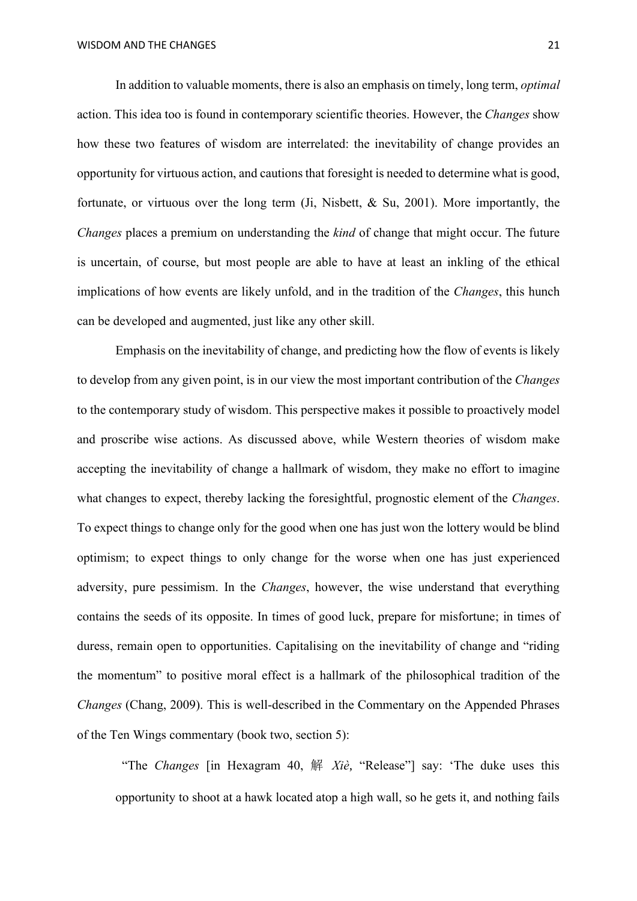In addition to valuable moments, there is also an emphasis on timely, long term, *optimal* action. This idea too is found in contemporary scientific theories. However, the *Changes* show how these two features of wisdom are interrelated: the inevitability of change provides an opportunity for virtuous action, and cautions that foresight is needed to determine what is good, fortunate, or virtuous over the long term (Ji, Nisbett, & Su, 2001). More importantly, the *Changes* places a premium on understanding the *kind* of change that might occur. The future is uncertain, of course, but most people are able to have at least an inkling of the ethical implications of how events are likely unfold, and in the tradition of the *Changes*, this hunch can be developed and augmented, just like any other skill.

Emphasis on the inevitability of change, and predicting how the flow of events is likely to develop from any given point, is in our view the most important contribution of the *Changes* to the contemporary study of wisdom. This perspective makes it possible to proactively model and proscribe wise actions. As discussed above, while Western theories of wisdom make accepting the inevitability of change a hallmark of wisdom, they make no effort to imagine what changes to expect, thereby lacking the foresightful, prognostic element of the *Changes*. To expect things to change only for the good when one has just won the lottery would be blind optimism; to expect things to only change for the worse when one has just experienced adversity, pure pessimism. In the *Changes*, however, the wise understand that everything contains the seeds of its opposite. In times of good luck, prepare for misfortune; in times of duress, remain open to opportunities. Capitalising on the inevitability of change and "riding the momentum" to positive moral effect is a hallmark of the philosophical tradition of the *Changes* (Chang, 2009). This is well-described in the Commentary on the Appended Phrases of the Ten Wings commentary (book two, section 5):

"The *Changes* [in Hexagram 40, 解 *Xiè*, "Release"] say: 'The duke uses this opportunity to shoot at a hawk located atop a high wall, so he gets it, and nothing fails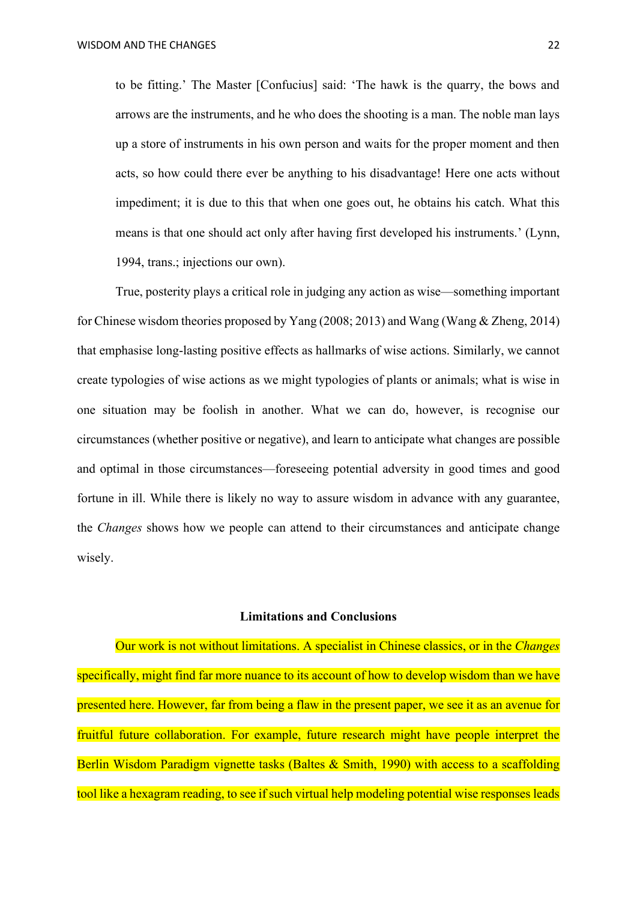to be fitting.' The Master [Confucius] said: 'The hawk is the quarry, the bows and arrows are the instruments, and he who does the shooting is a man. The noble man lays up a store of instruments in his own person and waits for the proper moment and then acts, so how could there ever be anything to his disadvantage! Here one acts without impediment; it is due to this that when one goes out, he obtains his catch. What this means is that one should act only after having first developed his instruments.' (Lynn, 1994, trans.; injections our own).

True, posterity plays a critical role in judging any action as wise—something important for Chinese wisdom theories proposed by Yang (2008; 2013) and Wang (Wang & Zheng, 2014) that emphasise long-lasting positive effects as hallmarks of wise actions. Similarly, we cannot create typologies of wise actions as we might typologies of plants or animals; what is wise in one situation may be foolish in another. What we can do, however, is recognise our circumstances (whether positive or negative), and learn to anticipate what changes are possible and optimal in those circumstances—foreseeing potential adversity in good times and good fortune in ill. While there is likely no way to assure wisdom in advance with any guarantee, the *Changes* shows how we people can attend to their circumstances and anticipate change wisely.

## **Limitations and Conclusions**

Our work is not without limitations. A specialist in Chinese classics, or in the *Changes*  specifically, might find far more nuance to its account of how to develop wisdom than we have presented here. However, far from being a flaw in the present paper, we see it as an avenue for fruitful future collaboration. For example, future research might have people interpret the Berlin Wisdom Paradigm vignette tasks (Baltes & Smith, 1990) with access to a scaffolding tool like a hexagram reading, to see if such virtual help modeling potential wise responses leads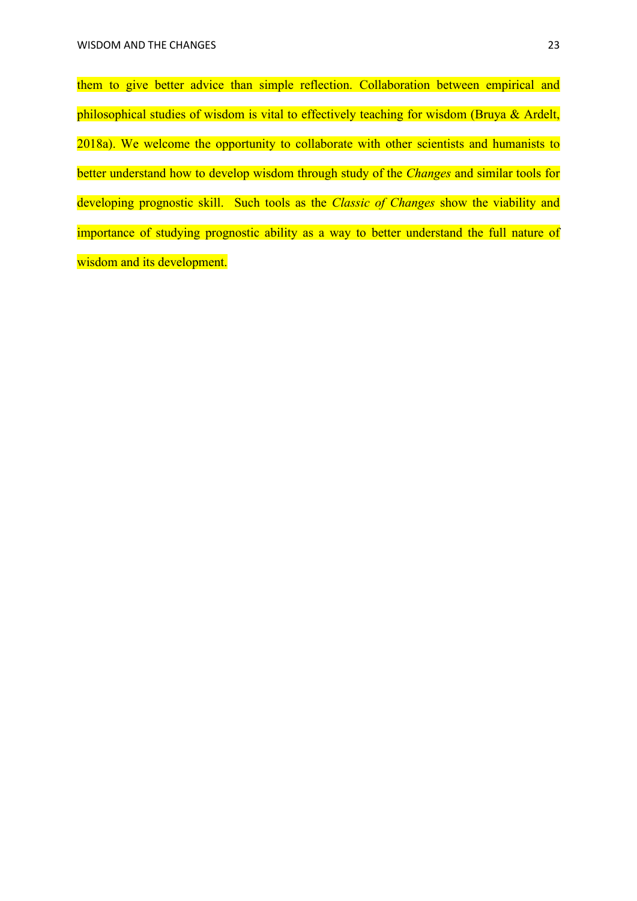them to give better advice than simple reflection. Collaboration between empirical and philosophical studies of wisdom is vital to effectively teaching for wisdom (Bruya & Ardelt, 2018a). We welcome the opportunity to collaborate with other scientists and humanists to better understand how to develop wisdom through study of the *Changes* and similar tools for developing prognostic skill. Such tools as the *Classic of Changes* show the viability and importance of studying prognostic ability as a way to better understand the full nature of wisdom and its development.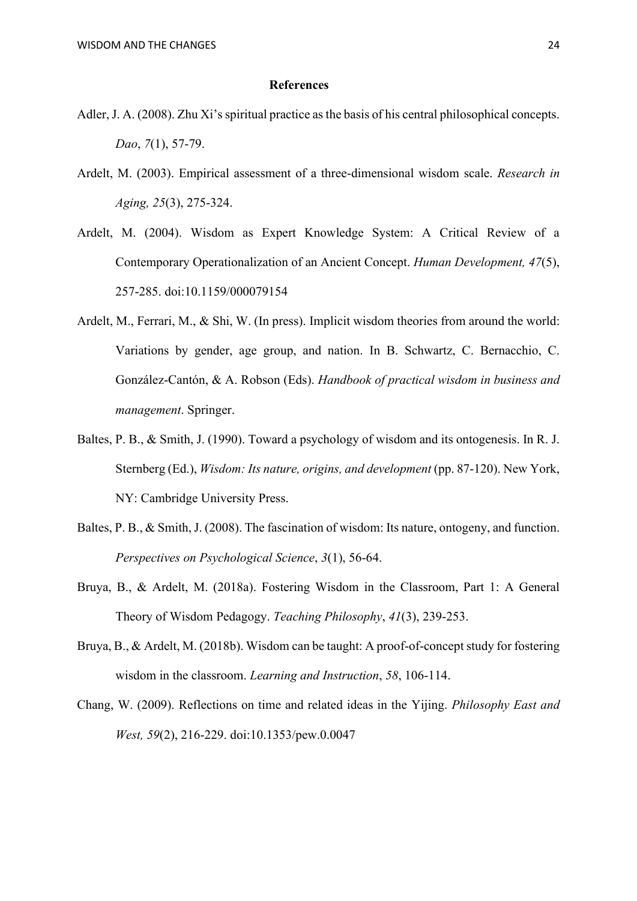#### **References**

- Adler, J. A. (2008). Zhu Xi's spiritual practice as the basis of his central philosophical concepts. *Dao*, *7*(1), 57-79.
- Ardelt, M. (2003). Empirical assessment of a three-dimensional wisdom scale. *Research in Aging, 25*(3), 275-324.
- Ardelt, M. (2004). Wisdom as Expert Knowledge System: A Critical Review of a Contemporary Operationalization of an Ancient Concept. *Human Development, 47*(5), 257-285. doi:10.1159/000079154
- Ardelt, M., Ferrari, M., & Shi, W. (In press). Implicit wisdom theories from around the world: Variations by gender, age group, and nation. In B. Schwartz, C. Bernacchio, C. González-Cantón, & A. Robson (Eds). *Handbook of practical wisdom in business and management*. Springer.
- Baltes, P. B., & Smith, J. (1990). Toward a psychology of wisdom and its ontogenesis. In R. J. Sternberg (Ed.), *Wisdom: Its nature, origins, and development* (pp. 87-120). New York, NY: Cambridge University Press.
- Baltes, P. B., & Smith, J. (2008). The fascination of wisdom: Its nature, ontogeny, and function. *Perspectives on Psychological Science*, *3*(1), 56-64.
- Bruya, B., & Ardelt, M. (2018a). Fostering Wisdom in the Classroom, Part 1: A General Theory of Wisdom Pedagogy. *Teaching Philosophy*, *41*(3), 239-253.
- Bruya, B., & Ardelt, M. (2018b). Wisdom can be taught: A proof-of-concept study for fostering wisdom in the classroom. *Learning and Instruction*, *58*, 106-114.
- Chang, W. (2009). Reflections on time and related ideas in the Yijing. *Philosophy East and West, 59*(2), 216-229. doi:10.1353/pew.0.0047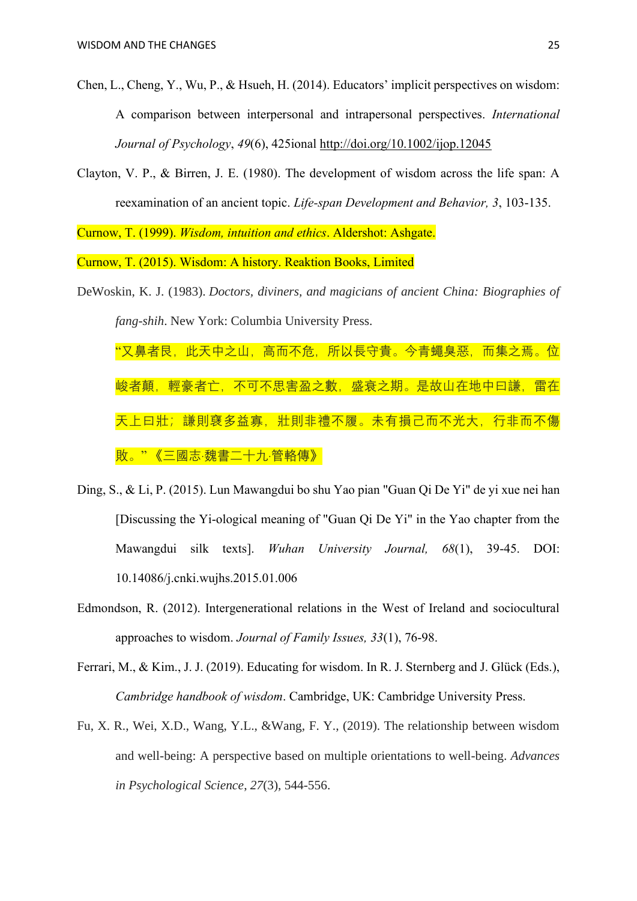- Chen, L., Cheng, Y., Wu, P., & Hsueh, H. (2014). Educators' implicit perspectives on wisdom: A comparison between interpersonal and intrapersonal perspectives. *International Journal of Psychology*, *49*(6), 425ional<http://doi.org/10.1002/ijop.12045>
- Clayton, V. P., & Birren, J. E. (1980). The development of wisdom across the life span: A reexamination of an ancient topic. *Life-span Development and Behavior, 3*, 103-135.

Curnow, T. (1999). *Wisdom, intuition and ethics*. Aldershot: Ashgate.

Curnow, T. (2015). Wisdom: A history. Reaktion Books, Limited

DeWoskin, K. J. (1983). *Doctors, diviners, and magicians of ancient China: Biographies of fang-shih*. New York: Columbia University Press.

"又鼻者艮,此天中之山,高而不危,所以長守貴。今青蠅臭惡,而集之焉。 峻者顛,輕豪者亡,不可不思害盈之數,盛衰之期。是故山在地中曰謙,雷在 天上曰壯;謙則襃多益寡,壯則非禮不履。未有損己而不光大,行非而不傷 敗。" 《三國志·魏書二十九·管輅傳》

- Ding, S., & Li, P. (2015). Lun Mawangdui bo shu Yao pian "Guan Qi De Yi" de yi xue nei han [Discussing the Yi-ological meaning of "Guan Qi De Yi" in the Yao chapter from the Mawangdui silk texts]. *Wuhan University Journal, 68*(1), 39-45. DOI: 10.14086/j.cnki.wujhs.2015.01.006
- Edmondson, R. (2012). Intergenerational relations in the West of Ireland and sociocultural approaches to wisdom. *Journal of Family Issues, 33*(1), 76-98.
- Ferrari, M., & Kim., J. J. (2019). Educating for wisdom. In R. J. Sternberg and J. Glück (Eds.), *Cambridge handbook of wisdom*. Cambridge, UK: Cambridge University Press.
- Fu, X. R., Wei, X.D., Wang, Y.L., &Wang, F. Y., (2019). The relationship between wisdom and well-being: A perspective based on multiple orientations to well-being. *Advances in Psychological Science*, *27*(3), 544-556.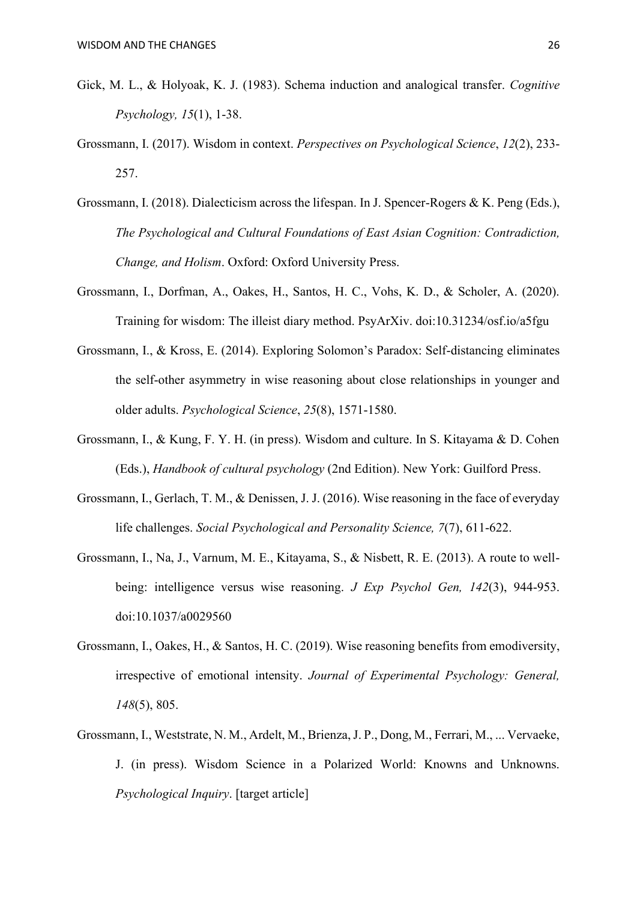- Gick, M. L., & Holyoak, K. J. (1983). Schema induction and analogical transfer. *Cognitive Psychology, 15*(1), 1-38.
- Grossmann, I. (2017). Wisdom in context. *Perspectives on Psychological Science*, *12*(2), 233- 257.
- Grossmann, I. (2018). Dialecticism across the lifespan. In J. Spencer-Rogers & K. Peng (Eds.), *The Psychological and Cultural Foundations of East Asian Cognition: Contradiction, Change, and Holism*. Oxford: Oxford University Press.
- Grossmann, I., Dorfman, A., Oakes, H., Santos, H. C., Vohs, K. D., & Scholer, A. (2020). Training for wisdom: The illeist diary method. PsyArXiv. doi:10.31234/osf.io/a5fgu
- Grossmann, I., & Kross, E. (2014). Exploring Solomon's Paradox: Self-distancing eliminates the self-other asymmetry in wise reasoning about close relationships in younger and older adults. *Psychological Science*, *25*(8), 1571-1580.
- Grossmann, I., & Kung, F. Y. H. (in press). Wisdom and culture. In S. Kitayama & D. Cohen (Eds.), *Handbook of cultural psychology* (2nd Edition). New York: Guilford Press.
- Grossmann, I., Gerlach, T. M., & Denissen, J. J. (2016). Wise reasoning in the face of everyday life challenges. *Social Psychological and Personality Science, 7*(7), 611-622.
- Grossmann, I., Na, J., Varnum, M. E., Kitayama, S., & Nisbett, R. E. (2013). A route to wellbeing: intelligence versus wise reasoning. *J Exp Psychol Gen, 142*(3), 944-953. doi:10.1037/a0029560
- Grossmann, I., Oakes, H., & Santos, H. C. (2019). Wise reasoning benefits from emodiversity, irrespective of emotional intensity. *Journal of Experimental Psychology: General, 148*(5), 805.
- Grossmann, I., Weststrate, N. M., Ardelt, M., Brienza, J. P., Dong, M., Ferrari, M., ... Vervaeke, J. (in press). Wisdom Science in a Polarized World: Knowns and Unknowns. *Psychological Inquiry*. [target article]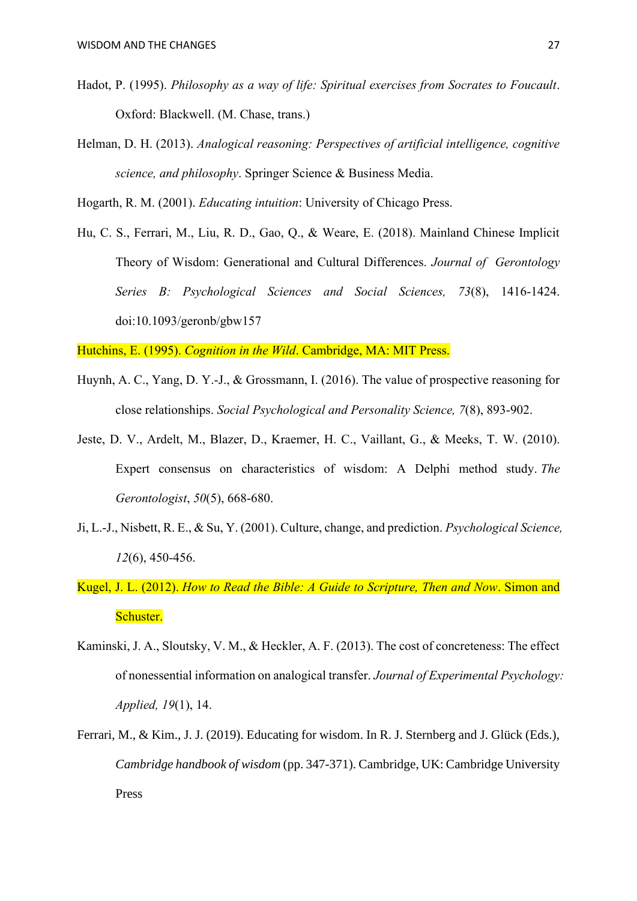- Hadot, P. (1995). *Philosophy as a way of life: Spiritual exercises from Socrates to Foucault*. Oxford: Blackwell. (M. Chase, trans.)
- Helman, D. H. (2013). *Analogical reasoning: Perspectives of artificial intelligence, cognitive science, and philosophy*. Springer Science & Business Media.

Hogarth, R. M. (2001). *Educating intuition*: University of Chicago Press.

Hu, C. S., Ferrari, M., Liu, R. D., Gao, Q., & Weare, E. (2018). Mainland Chinese Implicit Theory of Wisdom: Generational and Cultural Differences. *Journal of Gerontology Series B: Psychological Sciences and Social Sciences, 73*(8), 1416-1424. doi:10.1093/geronb/gbw157

Hutchins, E. (1995). *Cognition in the Wild*. Cambridge, MA: MIT Press.

- Huynh, A. C., Yang, D. Y.-J., & Grossmann, I. (2016). The value of prospective reasoning for close relationships. *Social Psychological and Personality Science, 7*(8), 893-902.
- Jeste, D. V., Ardelt, M., Blazer, D., Kraemer, H. C., Vaillant, G., & Meeks, T. W. (2010). Expert consensus on characteristics of wisdom: A Delphi method study. *The Gerontologist*, *50*(5), 668-680.
- Ji, L.-J., Nisbett, R. E., & Su, Y. (2001). Culture, change, and prediction. *Psychological Science, 12*(6), 450-456.
- Kugel, J. L. (2012). *How to Read the Bible: A Guide to Scripture, Then and Now*. Simon and Schuster.
- Kaminski, J. A., Sloutsky, V. M., & Heckler, A. F. (2013). The cost of concreteness: The effect of nonessential information on analogical transfer. *Journal of Experimental Psychology: Applied, 19*(1), 14.
- Ferrari, M., & Kim., J. J. (2019). Educating for wisdom. In R. J. Sternberg and J. Glück (Eds.), *Cambridge handbook of wisdom* (pp. 347-371). Cambridge, UK: Cambridge University Press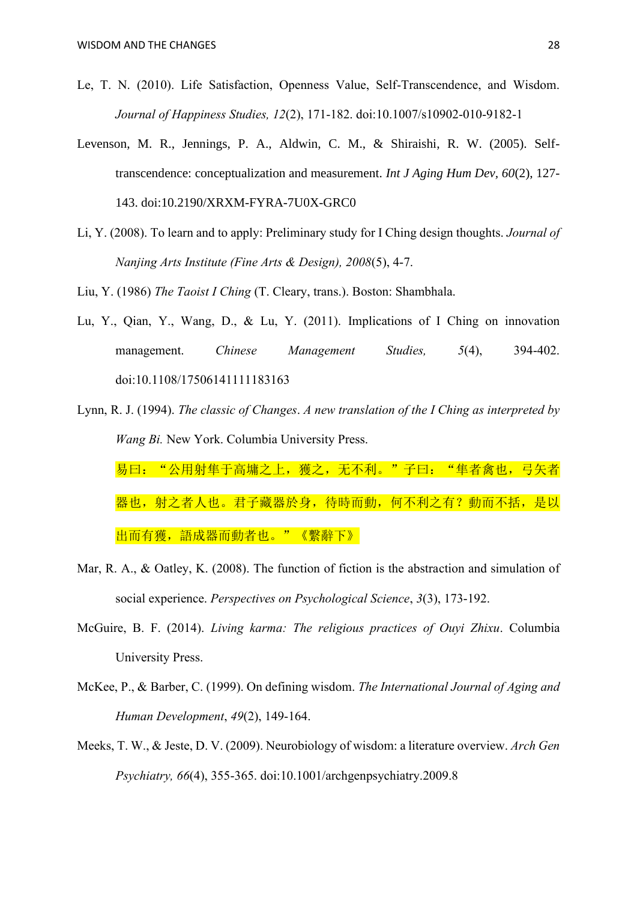- Le, T. N. (2010). Life Satisfaction, Openness Value, Self-Transcendence, and Wisdom. *Journal of Happiness Studies, 12*(2), 171-182. doi:10.1007/s10902-010-9182-1
- Levenson, M. R., Jennings, P. A., Aldwin, C. M., & Shiraishi, R. W. (2005). Selftranscendence: conceptualization and measurement. *Int J Aging Hum Dev, 60*(2), 127- 143. doi:10.2190/XRXM-FYRA-7U0X-GRC0
- Li, Y. (2008). To learn and to apply: Preliminary study for I Ching design thoughts. *Journal of Nanjing Arts Institute (Fine Arts & Design), 2008*(5), 4-7.
- Liu, Y. (1986) *The Taoist I Ching* (T. Cleary, trans.). Boston: Shambhala.
- Lu, Y., Qian, Y., Wang, D., & Lu, Y. (2011). Implications of I Ching on innovation management. *Chinese Management Studies*, 5(4), 394-402. doi:10.1108/17506141111183163
- Lynn, R. J. (1994). *The classic of Changes*. *A new translation of the I Ching as interpreted by Wang Bi.* New York. Columbia University Press. 易曰: "公用射隼于高墉之上, 獲之, 无不利。"子曰: "隼者禽也, 弓矢者 器也,射之者人也。君子藏器於身,待時而動,何不利之有?動而不括,是以

出而有獲,語成器而動者也。"《繫辭下》

- Mar, R. A., & Oatley, K. (2008). The function of fiction is the abstraction and simulation of social experience. *Perspectives on Psychological Science*, *3*(3), 173-192.
- McGuire, B. F. (2014). *Living karma: The religious practices of Ouyi Zhixu*. Columbia University Press.
- McKee, P., & Barber, C. (1999). On defining wisdom. *The International Journal of Aging and Human Development*, *49*(2), 149-164.
- Meeks, T. W., & Jeste, D. V. (2009). Neurobiology of wisdom: a literature overview. *Arch Gen Psychiatry, 66*(4), 355-365. doi:10.1001/archgenpsychiatry.2009.8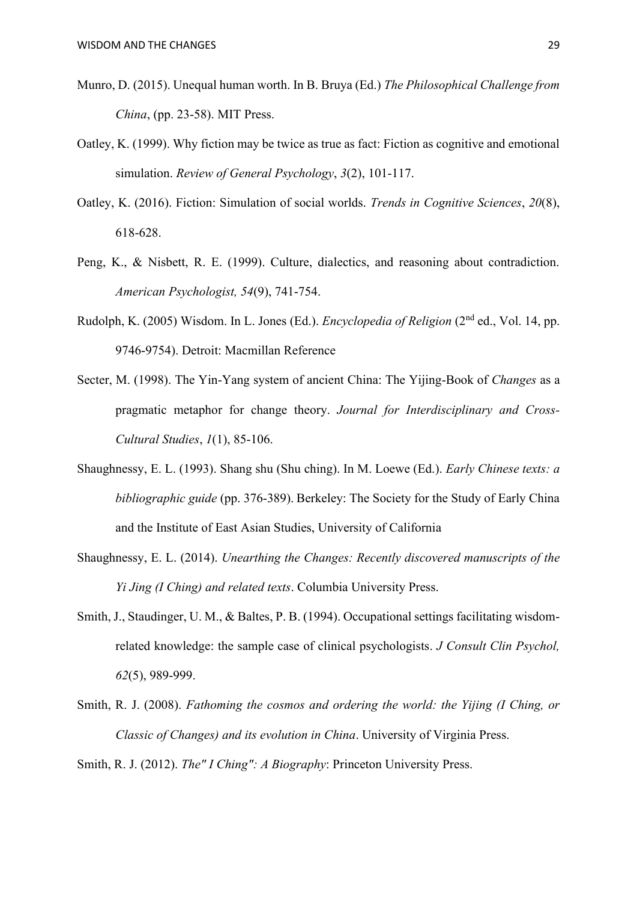- Munro, D. (2015). Unequal human worth. In B. Bruya (Ed.) *The Philosophical Challenge from China*, (pp. 23-58). MIT Press.
- Oatley, K. (1999). Why fiction may be twice as true as fact: Fiction as cognitive and emotional simulation. *Review of General Psychology*, *3*(2), 101-117.
- Oatley, K. (2016). Fiction: Simulation of social worlds. *Trends in Cognitive Sciences*, *20*(8), 618-628.
- Peng, K., & Nisbett, R. E. (1999). Culture, dialectics, and reasoning about contradiction. *American Psychologist, 54*(9), 741-754.
- Rudolph, K. (2005) Wisdom. In L. Jones (Ed.). *Encyclopedia of Religion* (2nd ed., Vol. 14, pp. 9746-9754). Detroit: Macmillan Reference
- Secter, M. (1998). The Yin-Yang system of ancient China: The Yijing-Book of *Changes* as a pragmatic metaphor for change theory. *Journal for Interdisciplinary and Cross-Cultural Studies*, *1*(1), 85-106.
- Shaughnessy, E. L. (1993). Shang shu (Shu ching). In M. Loewe (Ed.). *Early Chinese texts: a bibliographic guide* (pp. 376-389). Berkeley: The Society for the Study of Early China and the Institute of East Asian Studies, University of California
- Shaughnessy, E. L. (2014). *Unearthing the Changes: Recently discovered manuscripts of the Yi Jing (I Ching) and related texts*. Columbia University Press.
- Smith, J., Staudinger, U. M., & Baltes, P. B. (1994). Occupational settings facilitating wisdomrelated knowledge: the sample case of clinical psychologists. *J Consult Clin Psychol, 62*(5), 989-999.
- Smith, R. J. (2008). *Fathoming the cosmos and ordering the world: the Yijing (I Ching, or Classic of Changes) and its evolution in China*. University of Virginia Press.

Smith, R. J. (2012). *The" I Ching": A Biography*: Princeton University Press.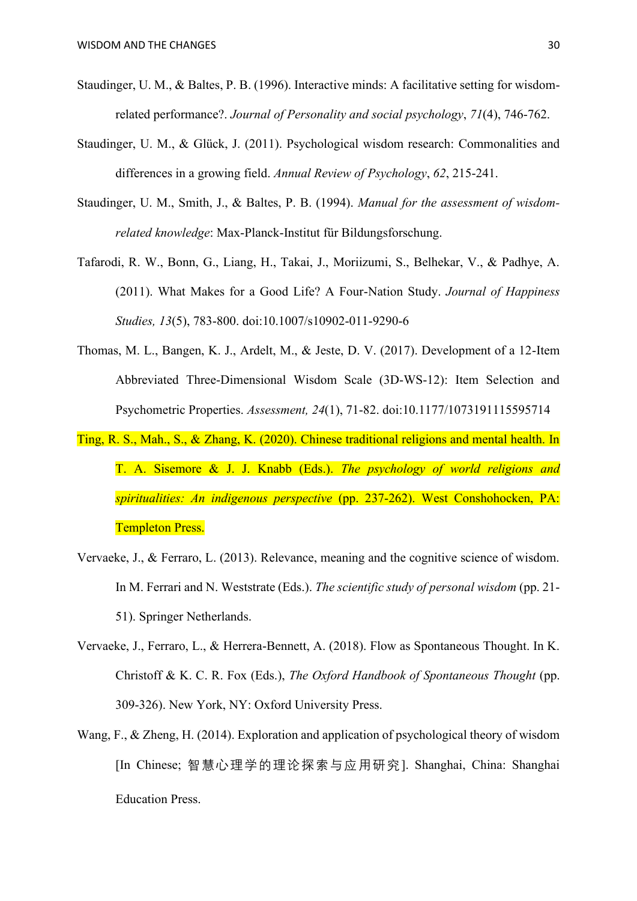- Staudinger, U. M., & Baltes, P. B. (1996). Interactive minds: A facilitative setting for wisdomrelated performance?. *Journal of Personality and social psychology*, *71*(4), 746-762.
- Staudinger, U. M., & Glück, J. (2011). Psychological wisdom research: Commonalities and differences in a growing field. *Annual Review of Psychology*, *62*, 215-241.
- Staudinger, U. M., Smith, J., & Baltes, P. B. (1994). *Manual for the assessment of wisdomrelated knowledge*: Max-Planck-Institut für Bildungsforschung.
- Tafarodi, R. W., Bonn, G., Liang, H., Takai, J., Moriizumi, S., Belhekar, V., & Padhye, A. (2011). What Makes for a Good Life? A Four-Nation Study. *Journal of Happiness Studies, 13*(5), 783-800. doi:10.1007/s10902-011-9290-6
- Thomas, M. L., Bangen, K. J., Ardelt, M., & Jeste, D. V. (2017). Development of a 12-Item Abbreviated Three-Dimensional Wisdom Scale (3D-WS-12): Item Selection and Psychometric Properties. *Assessment, 24*(1), 71-82. doi:10.1177/1073191115595714
- Ting, R. S., Mah., S., & Zhang, K. (2020). Chinese traditional religions and mental health. In T. A. Sisemore & J. J. Knabb (Eds.). *The psychology of world religions and spiritualities: An indigenous perspective* (pp. 237-262). West Conshohocken, PA: Templeton Press.
- Vervaeke, J., & Ferraro, L. (2013). Relevance, meaning and the cognitive science of wisdom. In M. Ferrari and N. Weststrate (Eds.). *The scientific study of personal wisdom* (pp. 21- 51). Springer Netherlands.
- Vervaeke, J., Ferraro, L., & Herrera-Bennett, A. (2018). Flow as Spontaneous Thought. In K. Christoff & K. C. R. Fox (Eds.), *The Oxford Handbook of Spontaneous Thought* (pp. 309-326). New York, NY: Oxford University Press.
- Wang, F., & Zheng, H. (2014). Exploration and application of psychological theory of wisdom [In Chinese; 智慧心理学的理论探索与应用研究]. Shanghai, China: Shanghai Education Press.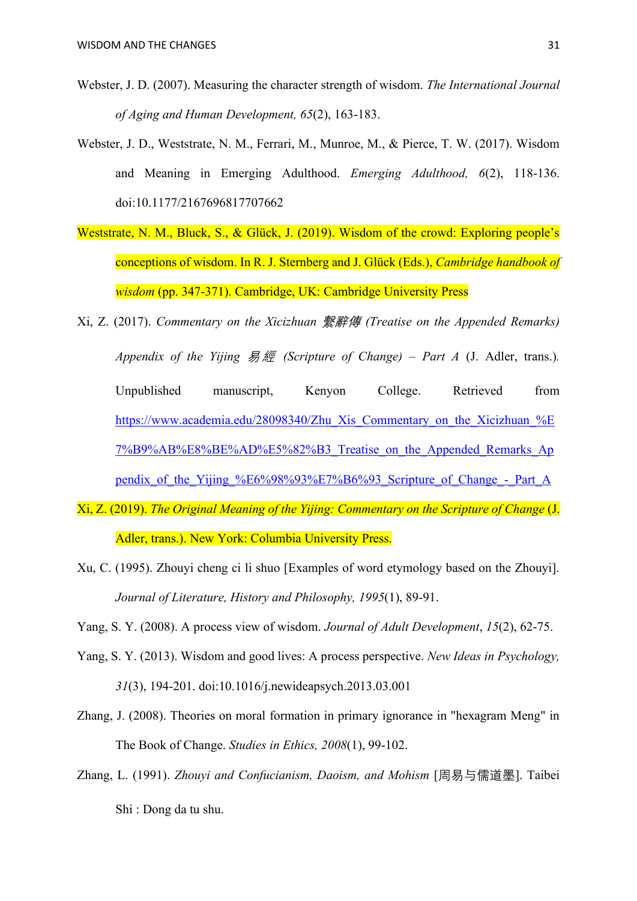- Webster, J. D. (2007). Measuring the character strength of wisdom. *The International Journal of Aging and Human Development, 65*(2), 163-183.
- Webster, J. D., Weststrate, N. M., Ferrari, M., Munroe, M., & Pierce, T. W. (2017). Wisdom and Meaning in Emerging Adulthood. *Emerging Adulthood, 6*(2), 118-136. doi:10.1177/2167696817707662
- Weststrate, N. M., Bluck, S., & Glück, J. (2019). Wisdom of the crowd: Exploring people's conceptions of wisdom. In R. J. Sternberg and J. Glück (Eds.), *Cambridge handbook of wisdom* (pp. 347-371). Cambridge, UK: Cambridge University Press
- Xi, Z. (2017). *Commentary on the Xicizhuan* 繫辭傳 *(Treatise on the Appended Remarks) Appendix of the Yijing* 易經 *(Scripture of Change) – Part A* (J. Adler, trans.)*.* Unpublished manuscript, Kenyon College. Retrieved from [https://www.academia.edu/28098340/Zhu\\_Xis\\_Commentary\\_on\\_the\\_Xicizhuan\\_%E](https://www.academia.edu/28098340/Zhu_Xis_Commentary_on_the_Xicizhuan_%E7%B9%AB%E8%BE%AD%E5%82%B3_Treatise_on_the_Appended_Remarks_Appendix_of_the_Yijing_%E6%98%93%E7%B6%93_Scripture_of_Change_-_Part_A) [7%B9%AB%E8%BE%AD%E5%82%B3\\_Treatise\\_on\\_the\\_Appended\\_Remarks\\_Ap](https://www.academia.edu/28098340/Zhu_Xis_Commentary_on_the_Xicizhuan_%E7%B9%AB%E8%BE%AD%E5%82%B3_Treatise_on_the_Appended_Remarks_Appendix_of_the_Yijing_%E6%98%93%E7%B6%93_Scripture_of_Change_-_Part_A) pendix of the Yijing %E6%98%93%E7%B6%93 Scripture of Change - Part A
- Xi, Z. (2019). *The Original Meaning of the Yijing: Commentary on the Scripture of Change* (J. Adler, trans.). New York: Columbia University Press.
- Xu, C. (1995). Zhouyi cheng ci li shuo [Examples of word etymology based on the Zhouyi]. *Journal of Literature, History and Philosophy, 1995*(1), 89-91.
- Yang, S. Y. (2008). A process view of wisdom. *Journal of Adult Development*, *15*(2), 62-75.
- Yang, S. Y. (2013). Wisdom and good lives: A process perspective. *New Ideas in Psychology, 31*(3), 194-201. doi:10.1016/j.newideapsych.2013.03.001
- Zhang, J. (2008). Theories on moral formation in primary ignorance in "hexagram Meng" in The Book of Change. *Studies in Ethics, 2008*(1), 99-102.
- Zhang, L. (1991). *Zhouyi and Confucianism, Daoism, and Mohism* [周易与儒道墨]. Taibei Shi : Dong da tu shu.